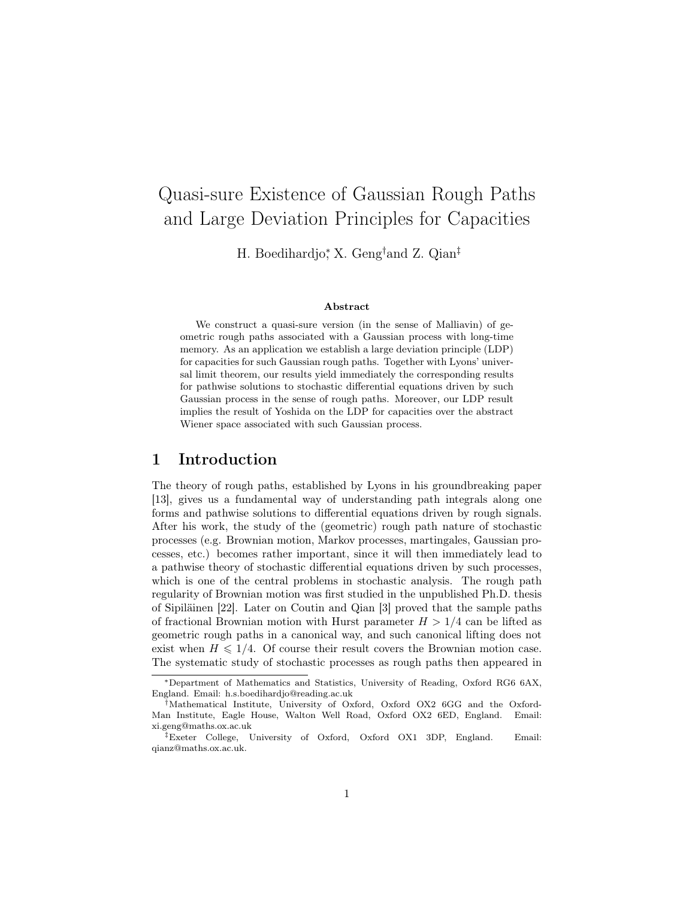# Quasi-sure Existence of Gaussian Rough Paths and Large Deviation Principles for Capacities

H. Boedihardjo<sup>∗</sup> , X. Geng†and Z. Qian‡

#### Abstract

We construct a quasi-sure version (in the sense of Malliavin) of geometric rough paths associated with a Gaussian process with long-time memory. As an application we establish a large deviation principle (LDP) for capacities for such Gaussian rough paths. Together with Lyons' universal limit theorem, our results yield immediately the corresponding results for pathwise solutions to stochastic differential equations driven by such Gaussian process in the sense of rough paths. Moreover, our LDP result implies the result of Yoshida on the LDP for capacities over the abstract Wiener space associated with such Gaussian process.

## 1 Introduction

The theory of rough paths, established by Lyons in his groundbreaking paper [13], gives us a fundamental way of understanding path integrals along one forms and pathwise solutions to differential equations driven by rough signals. After his work, the study of the (geometric) rough path nature of stochastic processes (e.g. Brownian motion, Markov processes, martingales, Gaussian processes, etc.) becomes rather important, since it will then immediately lead to a pathwise theory of stochastic differential equations driven by such processes, which is one of the central problems in stochastic analysis. The rough path regularity of Brownian motion was first studied in the unpublished Ph.D. thesis of Sipiläinen [22]. Later on Coutin and Qian [3] proved that the sample paths of fractional Brownian motion with Hurst parameter  $H > 1/4$  can be lifted as geometric rough paths in a canonical way, and such canonical lifting does not exist when  $H \leq 1/4$ . Of course their result covers the Brownian motion case. The systematic study of stochastic processes as rough paths then appeared in

<sup>∗</sup>Department of Mathematics and Statistics, University of Reading, Oxford RG6 6AX, England. Email: h.s.boedihardjo@reading.ac.uk

 $\ddot{\dagger}$ Mathematical Institute, University of Oxford, Oxford OX2 6GG and the Oxford-Man Institute, Eagle House, Walton Well Road, Oxford OX2 6ED, England. Email: xi.geng@maths.ox.ac.uk

<sup>‡</sup>Exeter College, University of Oxford, Oxford OX1 3DP, England. Email: qianz@maths.ox.ac.uk.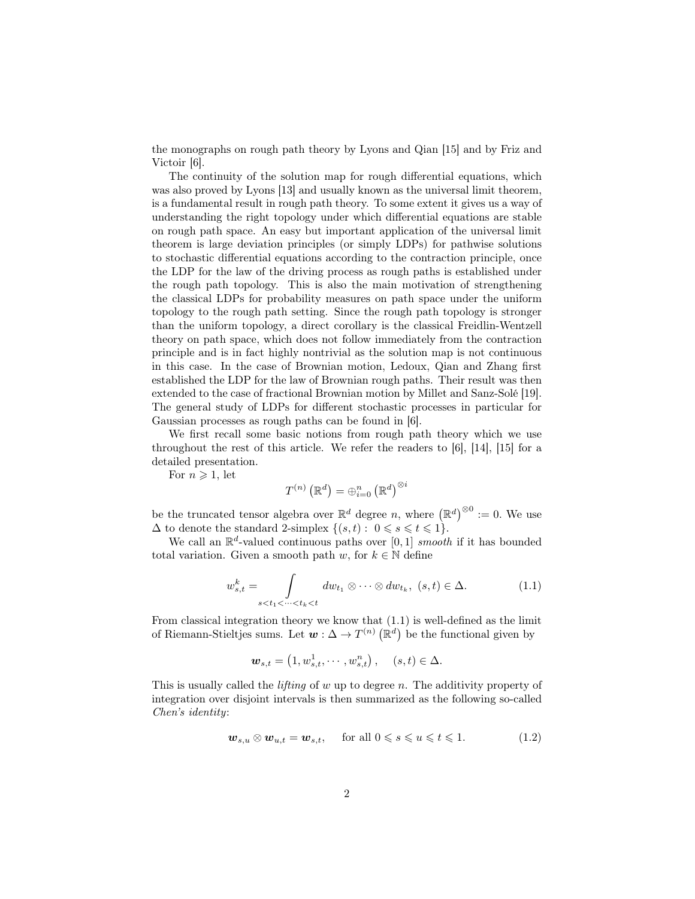the monographs on rough path theory by Lyons and Qian [15] and by Friz and Victoir [6].

The continuity of the solution map for rough differential equations, which was also proved by Lyons [13] and usually known as the universal limit theorem, is a fundamental result in rough path theory. To some extent it gives us a way of understanding the right topology under which differential equations are stable on rough path space. An easy but important application of the universal limit theorem is large deviation principles (or simply LDPs) for pathwise solutions to stochastic differential equations according to the contraction principle, once the LDP for the law of the driving process as rough paths is established under the rough path topology. This is also the main motivation of strengthening the classical LDPs for probability measures on path space under the uniform topology to the rough path setting. Since the rough path topology is stronger than the uniform topology, a direct corollary is the classical Freidlin-Wentzell theory on path space, which does not follow immediately from the contraction principle and is in fact highly nontrivial as the solution map is not continuous in this case. In the case of Brownian motion, Ledoux, Qian and Zhang first established the LDP for the law of Brownian rough paths. Their result was then extended to the case of fractional Brownian motion by Millet and Sanz-Solé [19]. The general study of LDPs for different stochastic processes in particular for Gaussian processes as rough paths can be found in [6].

We first recall some basic notions from rough path theory which we use throughout the rest of this article. We refer the readers to [6], [14], [15] for a detailed presentation.

For  $n \geqslant 1$ , let

$$
T^{(n)}\left(\mathbb{R}^d\right)=\oplus_{i=0}^n\left(\mathbb{R}^d\right)^{\otimes i}
$$

be the truncated tensor algebra over  $\mathbb{R}^d$  degree n, where  $(\mathbb{R}^d)^{\otimes 0} := 0$ . We use  $\Delta$  to denote the standard 2-simplex  $\{(s,t): 0 \leq s \leq t \leq 1\}.$ 

We call an  $\mathbb{R}^d$ -valued continuous paths over [0, 1] *smooth* if it has bounded total variation. Given a smooth path w, for  $k \in \mathbb{N}$  define

$$
w_{s,t}^k = \int_{s < t_1 < \dots < t_k < t} dw_{t_1} \otimes \dots \otimes dw_{t_k}, \ (s, t) \in \Delta. \tag{1.1}
$$

From classical integration theory we know that (1.1) is well-defined as the limit of Riemann-Stieltjes sums. Let  $w: \Delta \to T^{(n)}(\mathbb{R}^d)$  be the functional given by

$$
\mathbf{w}_{s,t} = \left(1, w_{s,t}^1, \cdots, w_{s,t}^n\right), \quad (s,t) \in \Delta.
$$

This is usually called the *lifting* of  $w$  up to degree  $n$ . The additivity property of integration over disjoint intervals is then summarized as the following so-called Chen's identity:

$$
\mathbf{w}_{s,u} \otimes \mathbf{w}_{u,t} = \mathbf{w}_{s,t}, \quad \text{for all } 0 \leqslant s \leqslant u \leqslant t \leqslant 1. \tag{1.2}
$$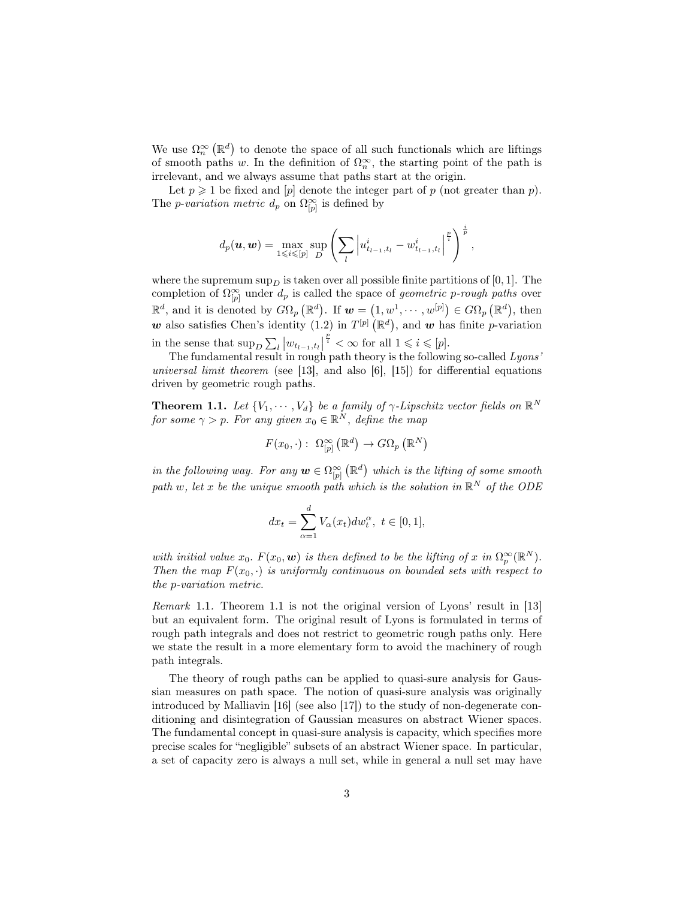We use  $\Omega_n^{\infty}(\mathbb{R}^d)$  to denote the space of all such functionals which are liftings of smooth paths w. In the definition of  $\Omega_n^{\infty}$ , the starting point of the path is irrelevant, and we always assume that paths start at the origin.

Let  $p \geq 1$  be fixed and |p| denote the integer part of p (not greater than p). The *p-variation metric*  $d_p$  on  $\Omega_{[p]}^{\infty}$  is defined by

$$
d_p(\boldsymbol{u}, \boldsymbol{w}) = \max_{1 \leq i \leq [p]} \sup_D \left( \sum_l \left| u^i_{t_{l-1}, t_l} - w^i_{t_{l-1}, t_l} \right|^{\frac{p}{i}} \right)^{\frac{i}{p}},
$$

where the supremum  $\sup_D$  is taken over all possible finite partitions of [0, 1]. The completion of  $\Omega_{[p]}^{\infty}$  under  $d_p$  is called the space of *geometric p-rough paths* over  $\mathbb{R}^d$ , and it is denoted by  $G\Omega_p(\mathbb{R}^d)$ . If  $\mathbf{w} = (1, w^1, \dots, w^{[p]}) \in G\Omega_p(\mathbb{R}^d)$ , then w also satisfies Chen's identity (1.2) in  $T^{[p]}(\mathbb{R}^d)$ , and w has finite p-variation in the sense that  $\sup_D \sum_l |w_{t_{l-1},t_l}|$  $\frac{p}{i} < \infty$  for all  $1 \leqslant i \leqslant [p]$ .

The fundamental result in rough path theory is the following so-called Lyons' universal limit theorem (see [13], and also [6], [15]) for differential equations driven by geometric rough paths.

**Theorem 1.1.** Let  $\{V_1, \dots, V_d\}$  be a family of  $\gamma$ -Lipschitz vector fields on  $\mathbb{R}^N$ for some  $\gamma > p$ . For any given  $x_0 \in \mathbb{R}^N$ , define the map

$$
F(x_0, \cdot): \ \Omega_{[p]}^{\infty}\left(\mathbb{R}^d\right) \to G\Omega_p\left(\mathbb{R}^N\right)
$$

in the following way. For any  $w \in \Omega^{\infty}_{[p]}(\mathbb{R}^d)$  which is the lifting of some smooth path w, let x be the unique smooth path which is the solution in  $\mathbb{R}^N$  of the ODE

$$
dx_t=\sum_{\alpha=1}^dV_{\alpha}(x_t)dw_t^{\alpha},\ t\in[0,1],
$$

with initial value  $x_0$ .  $F(x_0, \mathbf{w})$  is then defined to be the lifting of x in  $\Omega_p^{\infty}(\mathbb{R}^N)$ . Then the map  $F(x_0, \cdot)$  is uniformly continuous on bounded sets with respect to the p-variation metric.

Remark 1.1. Theorem 1.1 is not the original version of Lyons' result in [13] but an equivalent form. The original result of Lyons is formulated in terms of rough path integrals and does not restrict to geometric rough paths only. Here we state the result in a more elementary form to avoid the machinery of rough path integrals.

The theory of rough paths can be applied to quasi-sure analysis for Gaussian measures on path space. The notion of quasi-sure analysis was originally introduced by Malliavin [16] (see also [17]) to the study of non-degenerate conditioning and disintegration of Gaussian measures on abstract Wiener spaces. The fundamental concept in quasi-sure analysis is capacity, which specifies more precise scales for "negligible" subsets of an abstract Wiener space. In particular, a set of capacity zero is always a null set, while in general a null set may have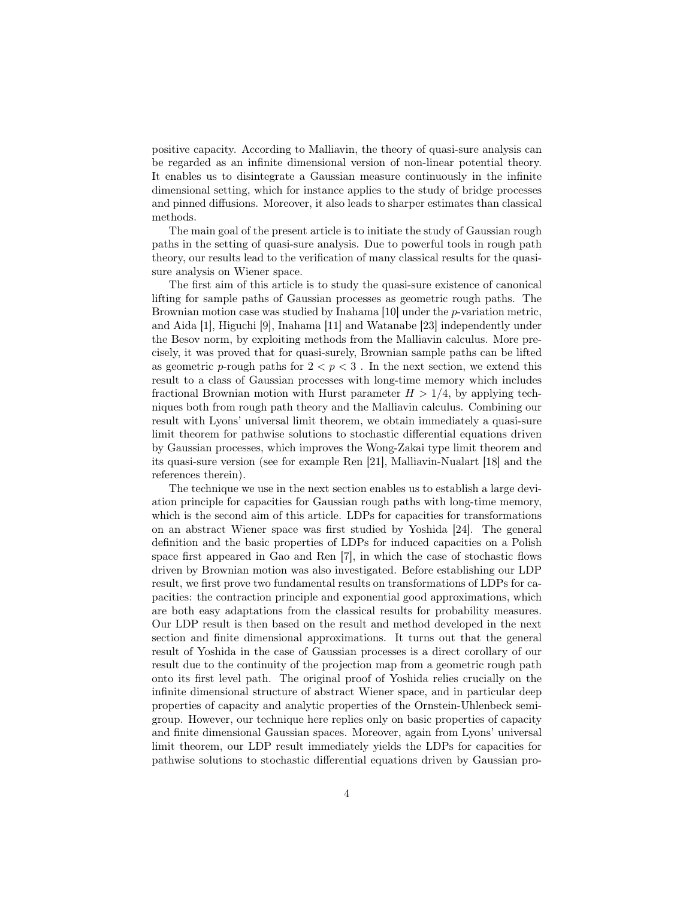positive capacity. According to Malliavin, the theory of quasi-sure analysis can be regarded as an infinite dimensional version of non-linear potential theory. It enables us to disintegrate a Gaussian measure continuously in the infinite dimensional setting, which for instance applies to the study of bridge processes and pinned diffusions. Moreover, it also leads to sharper estimates than classical methods.

The main goal of the present article is to initiate the study of Gaussian rough paths in the setting of quasi-sure analysis. Due to powerful tools in rough path theory, our results lead to the verification of many classical results for the quasisure analysis on Wiener space.

The first aim of this article is to study the quasi-sure existence of canonical lifting for sample paths of Gaussian processes as geometric rough paths. The Brownian motion case was studied by Inahama [10] under the p-variation metric, and Aida [1], Higuchi [9], Inahama [11] and Watanabe [23] independently under the Besov norm, by exploiting methods from the Malliavin calculus. More precisely, it was proved that for quasi-surely, Brownian sample paths can be lifted as geometric p-rough paths for  $2 < p < 3$ . In the next section, we extend this result to a class of Gaussian processes with long-time memory which includes fractional Brownian motion with Hurst parameter  $H > 1/4$ , by applying techniques both from rough path theory and the Malliavin calculus. Combining our result with Lyons' universal limit theorem, we obtain immediately a quasi-sure limit theorem for pathwise solutions to stochastic differential equations driven by Gaussian processes, which improves the Wong-Zakai type limit theorem and its quasi-sure version (see for example Ren [21], Malliavin-Nualart [18] and the references therein).

The technique we use in the next section enables us to establish a large deviation principle for capacities for Gaussian rough paths with long-time memory, which is the second aim of this article. LDPs for capacities for transformations on an abstract Wiener space was first studied by Yoshida [24]. The general definition and the basic properties of LDPs for induced capacities on a Polish space first appeared in Gao and Ren [7], in which the case of stochastic flows driven by Brownian motion was also investigated. Before establishing our LDP result, we first prove two fundamental results on transformations of LDPs for capacities: the contraction principle and exponential good approximations, which are both easy adaptations from the classical results for probability measures. Our LDP result is then based on the result and method developed in the next section and finite dimensional approximations. It turns out that the general result of Yoshida in the case of Gaussian processes is a direct corollary of our result due to the continuity of the projection map from a geometric rough path onto its first level path. The original proof of Yoshida relies crucially on the infinite dimensional structure of abstract Wiener space, and in particular deep properties of capacity and analytic properties of the Ornstein-Uhlenbeck semigroup. However, our technique here replies only on basic properties of capacity and finite dimensional Gaussian spaces. Moreover, again from Lyons' universal limit theorem, our LDP result immediately yields the LDPs for capacities for pathwise solutions to stochastic differential equations driven by Gaussian pro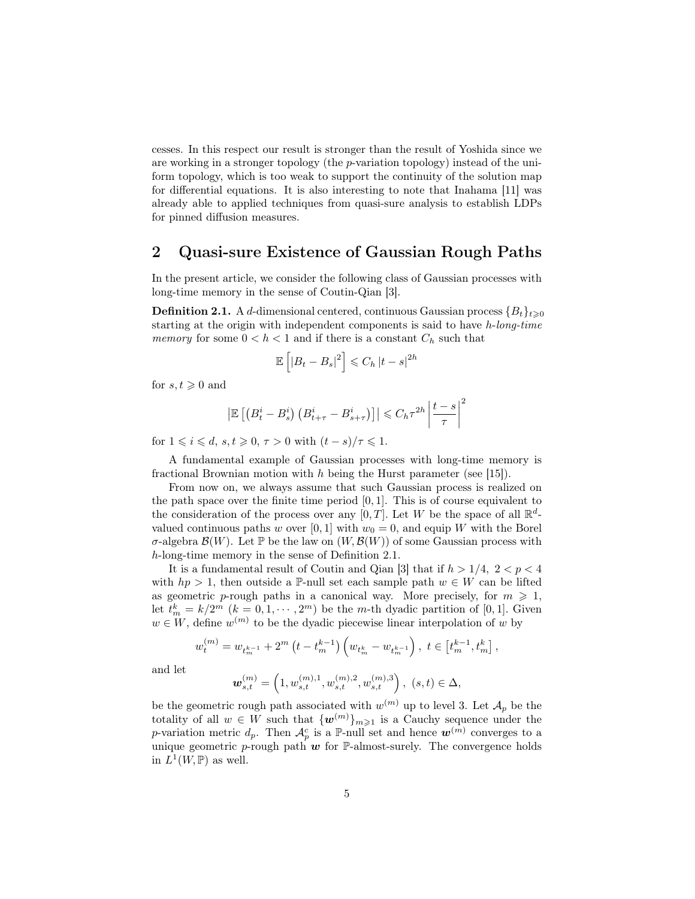cesses. In this respect our result is stronger than the result of Yoshida since we are working in a stronger topology (the p-variation topology) instead of the uniform topology, which is too weak to support the continuity of the solution map for differential equations. It is also interesting to note that Inahama [11] was already able to applied techniques from quasi-sure analysis to establish LDPs for pinned diffusion measures.

## 2 Quasi-sure Existence of Gaussian Rough Paths

In the present article, we consider the following class of Gaussian processes with long-time memory in the sense of Coutin-Qian [3].

**Definition 2.1.** A d-dimensional centered, continuous Gaussian process  ${B_t}_{t\geq0}$ starting at the origin with independent components is said to have h-long-time memory for some  $0 < h < 1$  and if there is a constant  $C_h$  such that

$$
\mathbb{E}\left[\left|B_t - B_s\right|^2\right] \leq C_h \left|t - s\right|^{2h}
$$

for  $s, t \geq 0$  and

$$
\left| \mathbb{E}\left[ \left( B_t^i - B_s^i \right) \left( B_{t+\tau}^i - B_{s+\tau}^i \right) \right] \right| \leq C_h \tau^{2h} \left| \frac{t-s}{\tau} \right|^2
$$

for  $1 \leq i \leq d$ ,  $s, t \geq 0$ ,  $\tau > 0$  with  $(t - s)/\tau \leq 1$ .

A fundamental example of Gaussian processes with long-time memory is fractional Brownian motion with  $h$  being the Hurst parameter (see [15]).

From now on, we always assume that such Gaussian process is realized on the path space over the finite time period  $[0, 1]$ . This is of course equivalent to the consideration of the process over any  $[0, T]$ . Let W be the space of all  $\mathbb{R}^d$ valued continuous paths w over [0, 1] with  $w_0 = 0$ , and equip W with the Borel σ-algebra  $\mathcal{B}(W)$ . Let P be the law on  $(W, \mathcal{B}(W))$  of some Gaussian process with h-long-time memory in the sense of Definition 2.1.

It is a fundamental result of Coutin and Qian [3] that if  $h > 1/4$ ,  $2 < p < 4$ with  $hp > 1$ , then outside a P-null set each sample path  $w \in W$  can be lifted as geometric p-rough paths in a canonical way. More precisely, for  $m \geq 1$ , let  $t_m^k = k/2^m$   $(k = 0, 1, \dots, 2^m)$  be the *m*-th dyadic partition of [0, 1]. Given  $w \in W$ , define  $w^{(m)}$  to be the dyadic piecewise linear interpolation of w by

$$
w_t^{(m)} = w_{t_m^{k-1}} + 2^m \left( t - t_m^{k-1} \right) \left( w_{t_m^k} - w_{t_m^{k-1}} \right), \ t \in \left[ t_m^{k-1}, t_m^k \right],
$$

and let

$$
\pmb{w}^{(m)}_{s,t} = \left(1,w^{(m),1}_{s,t},w^{(m),2}_{s,t},w^{(m),3}_{s,t}\right), \ (s,t) \in \Delta,
$$

be the geometric rough path associated with  $w^{(m)}$  up to level 3. Let  $\mathcal{A}_p$  be the totality of all  $w \in W$  such that  $\{w^{(m)}\}_{m\geq 1}$  is a Cauchy sequence under the p-variation metric  $d_p$ . Then  $\mathcal{A}_p^c$  is a P-null set and hence  $\mathbf{w}^{(m)}$  converges to a unique geometric p-rough path  $w$  for P-almost-surely. The convergence holds in  $L^1(W, \mathbb{P})$  as well.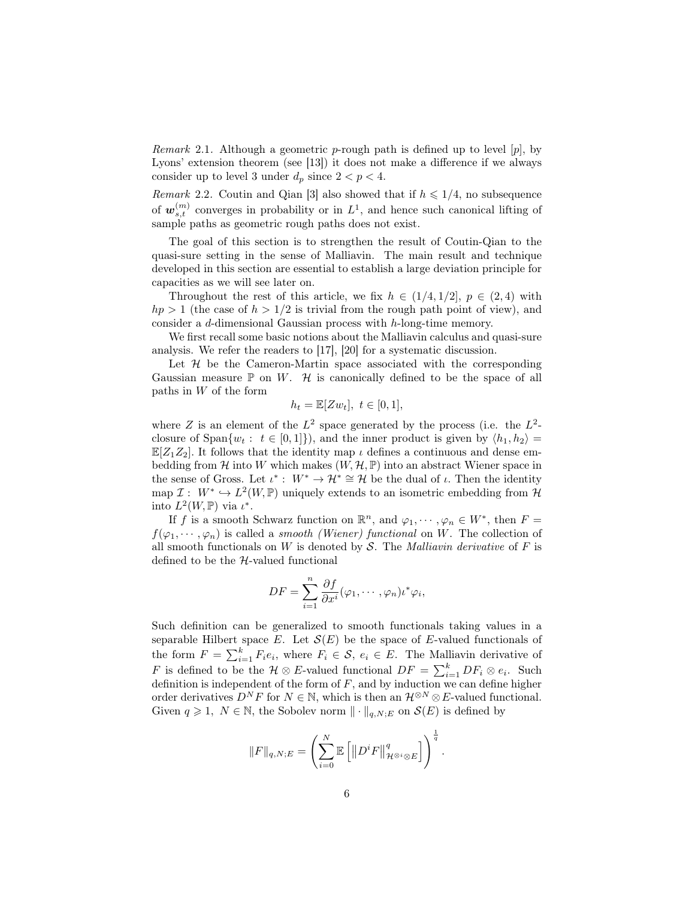*Remark* 2.1. Although a geometric *p*-rough path is defined up to level [*p*], by Lyons' extension theorem (see [13]) it does not make a difference if we always consider up to level 3 under  $d_p$  since  $2 < p < 4$ .

Remark 2.2. Coutin and Qian [3] also showed that if  $h \leq 1/4$ , no subsequence of  $w_{s,t}^{(m)}$  converges in probability or in  $L^1$ , and hence such canonical lifting of sample paths as geometric rough paths does not exist.

The goal of this section is to strengthen the result of Coutin-Qian to the quasi-sure setting in the sense of Malliavin. The main result and technique developed in this section are essential to establish a large deviation principle for capacities as we will see later on.

Throughout the rest of this article, we fix  $h \in (1/4, 1/2], p \in (2, 4)$  with  $hp > 1$  (the case of  $h > 1/2$  is trivial from the rough path point of view), and consider a d-dimensional Gaussian process with h-long-time memory.

We first recall some basic notions about the Malliavin calculus and quasi-sure analysis. We refer the readers to [17], [20] for a systematic discussion.

Let  $\mathcal H$  be the Cameron-Martin space associated with the corresponding Gaussian measure  $\mathbb P$  on W.  $\mathcal H$  is canonically defined to be the space of all paths in W of the form

$$
h_t = \mathbb{E}[Zw_t], \ t \in [0,1],
$$

where Z is an element of the  $L^2$  space generated by the process (i.e. the  $L^2$ closure of  $\text{Span}\{w_t : t \in [0,1]\}\)$ , and the inner product is given by  $\langle h_1, h_2 \rangle =$  $\mathbb{E}[Z_1Z_2]$ . It follows that the identity map  $\iota$  defines a continuous and dense embedding from H into W which makes  $(W, \mathcal{H}, \mathbb{P})$  into an abstract Wiener space in the sense of Gross. Let  $\iota^* : W^* \to \mathcal{H}^* \cong \mathcal{H}$  be the dual of  $\iota$ . Then the identity map  $\mathcal{I}: W^* \hookrightarrow L^2(W,\mathbb{P})$  uniquely extends to an isometric embedding from  $\mathcal{H}$ into  $L^2(W, \mathbb{P})$  via  $\iota^*$ .

If f is a smooth Schwarz function on  $\mathbb{R}^n$ , and  $\varphi_1, \dots, \varphi_n \in W^*$ , then  $F =$  $f(\varphi_1, \dots, \varphi_n)$  is called a *smooth (Wiener) functional* on W. The collection of all smooth functionals on W is denoted by S. The *Malliavin derivative* of F is defined to be the  $H$ -valued functional

$$
DF = \sum_{i=1}^{n} \frac{\partial f}{\partial x^{i}} (\varphi_1, \cdots, \varphi_n) t^* \varphi_i,
$$

Such definition can be generalized to smooth functionals taking values in a separable Hilbert space E. Let  $\mathcal{S}(E)$  be the space of E-valued functionals of the form  $F = \sum_{i=1}^{k} F_i e_i$ , where  $F_i \in \mathcal{S}$ ,  $e_i \in E$ . The Malliavin derivative of F is defined to be the  $\mathcal{H} \otimes E$ -valued functional  $DF = \sum_{i=1}^{k} DF_i \otimes e_i$ . Such definition is independent of the form of  $F$ , and by induction we can define higher order derivatives  $D^N F$  for  $N \in \mathbb{N}$ , which is then an  $\mathcal{H}^{\otimes N} \otimes E$ -valued functional. Given  $q \geq 1$ ,  $N \in \mathbb{N}$ , the Sobolev norm  $\|\cdot\|_{q,N;E}$  on  $\mathcal{S}(E)$  is defined by

$$
||F||_{q,N;E} = \left(\sum_{i=0}^N \mathbb{E}\left[||D^i F||_{\mathcal{H}^{\otimes i} \otimes E}^q\right]\right)^{\frac{1}{q}}.
$$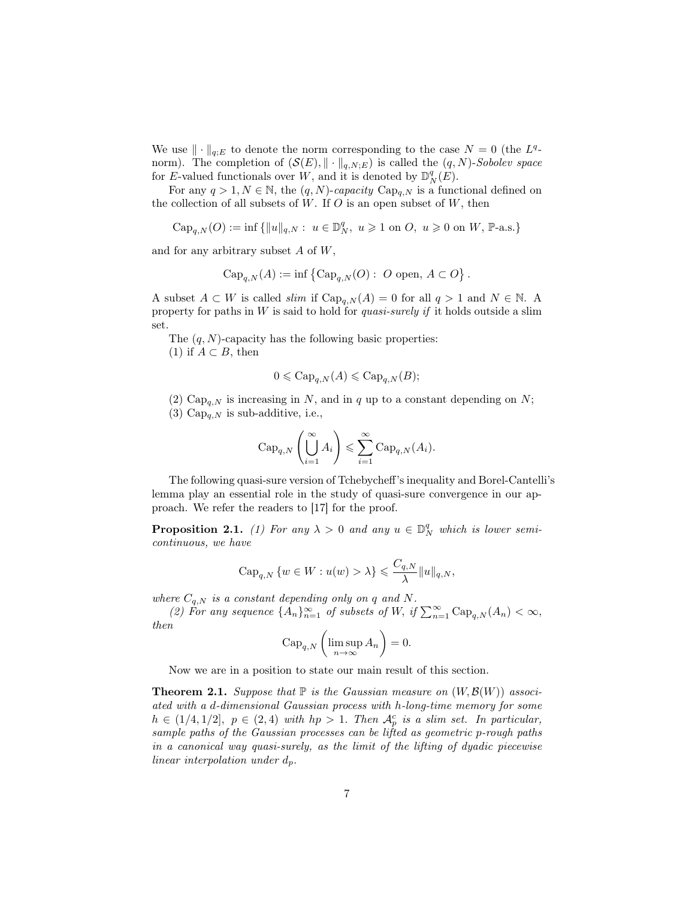We use  $\|\cdot\|_{q,E}$  to denote the norm corresponding to the case  $N = 0$  (the  $L^q$ norm). The completion of  $(\mathcal{S}(E), \|\cdot\|_{q,N;E})$  is called the  $(q, N)$ -Sobolev space for E-valued functionals over W, and it is denoted by  $\mathbb{D}_N^q(E)$ .

For any  $q > 1, N \in \mathbb{N}$ , the  $(q, N)$ -capacity  $Cap_{q,N}$  is a functional defined on the collection of all subsets of  $W$ . If  $O$  is an open subset of  $W$ , then

$$
{\rm Cap}_{q,N}(O):=\inf\left\{\|u\|_{q,N}:\ u\in\mathbb{D}_N^q,\ u\geqslant 1\ \text{on}\ O,\ u\geqslant 0\ \text{on}\ W,\ \mathbb{P}\text{-a.s.}\right\}
$$

and for any arbitrary subset  $A$  of  $W$ ,

$$
\operatorname{Cap}_{q,N}(A) := \inf \left\{ \operatorname{Cap}_{q,N}(O) : O \text{ open}, A \subset O \right\}.
$$

A subset  $A \subset W$  is called slim if  $Cap_{q,N}(A) = 0$  for all  $q > 1$  and  $N \in \mathbb{N}$ . A property for paths in  $W$  is said to hold for *quasi-surely if* it holds outside a slim set.

The  $(q, N)$ -capacity has the following basic properties:

(1) if  $A \subset B$ , then

$$
0 \leqslant \text{Cap}_{q,N}(A) \leqslant \text{Cap}_{q,N}(B);
$$

(2)  $Cap_{q,N}$  is increasing in N, and in q up to a constant depending on N;

(3)  $Cap_{a,N}$  is sub-additive, i.e.,

$$
\operatorname{Cap}_{q,N}\left(\bigcup_{i=1}^{\infty} A_i\right) \leqslant \sum_{i=1}^{\infty} \operatorname{Cap}_{q,N}(A_i).
$$

The following quasi-sure version of Tchebycheff's inequality and Borel-Cantelli's lemma play an essential role in the study of quasi-sure convergence in our approach. We refer the readers to [17] for the proof.

**Proposition 2.1.** (1) For any  $\lambda > 0$  and any  $u \in D_N^q$  which is lower semicontinuous, we have

$$
{\rm Cap}_{q,N}\left\{w\in W: u(w)>\lambda\right\}\leqslant \frac{C_{q,N}}{\lambda}\|u\|_{q,N},
$$

where  $C_{q,N}$  is a constant depending only on q and N.

(2) For any sequence  $\{A_n\}_{n=1}^{\infty}$  of subsets of W, if  $\sum_{n=1}^{\infty} \text{Cap}_{q,N}(A_n) < \infty$ , then

$$
\operatorname{Cap}_{q,N}\left(\limsup_{n\to\infty} A_n\right)=0.
$$

Now we are in a position to state our main result of this section.

**Theorem 2.1.** Suppose that  $\mathbb{P}$  is the Gaussian measure on  $(W, \mathcal{B}(W))$  associated with a d-dimensional Gaussian process with h-long-time memory for some  $h \in (1/4, 1/2], p \in (2, 4)$  with  $hp > 1$ . Then  $\mathcal{A}_p^c$  is a slim set. In particular, sample paths of the Gaussian processes can be lifted as geometric p-rough paths in a canonical way quasi-surely, as the limit of the lifting of dyadic piecewise linear interpolation under  $d_p$ .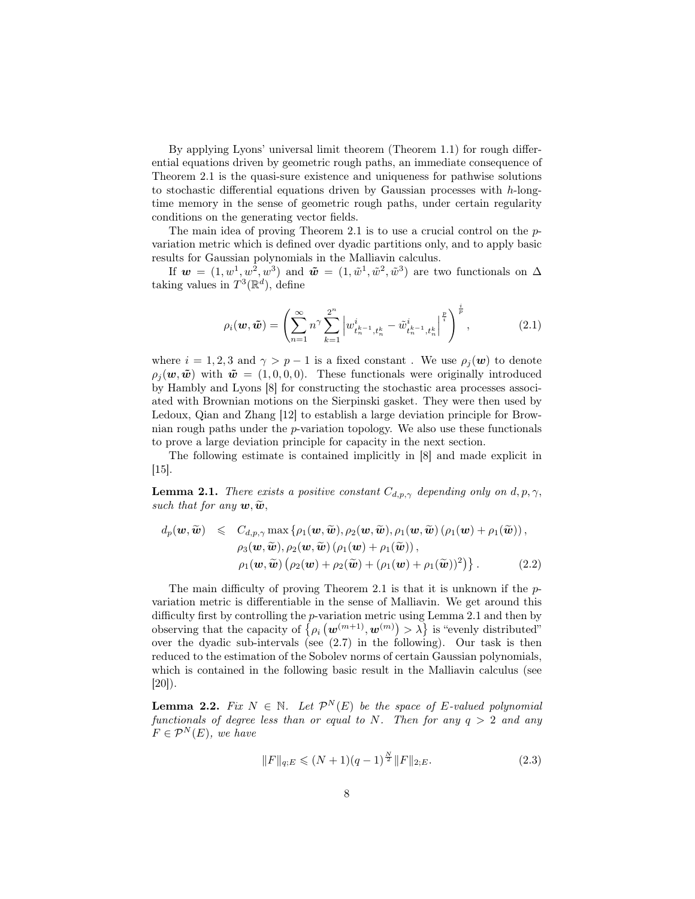By applying Lyons' universal limit theorem (Theorem 1.1) for rough differential equations driven by geometric rough paths, an immediate consequence of Theorem 2.1 is the quasi-sure existence and uniqueness for pathwise solutions to stochastic differential equations driven by Gaussian processes with  $h$ -longtime memory in the sense of geometric rough paths, under certain regularity conditions on the generating vector fields.

The main idea of proving Theorem 2.1 is to use a crucial control on the pvariation metric which is defined over dyadic partitions only, and to apply basic results for Gaussian polynomials in the Malliavin calculus.

If  $\mathbf{w} = (1, w^1, w^2, w^3)$  and  $\tilde{\mathbf{w}} = (1, \tilde{w}^1, \tilde{w}^2, \tilde{w}^3)$  are two functionals on  $\Delta$ taking values in  $T^3(\mathbb{R}^d)$ , define

$$
\rho_i(\boldsymbol{w}, \tilde{\boldsymbol{w}}) = \left( \sum_{n=1}^{\infty} n^{\gamma} \sum_{k=1}^{2^n} \left| w_{t_n^{k-1}, t_n^k}^i - \tilde{w}_{t_n^{k-1}, t_n^k}^i \right|^{\frac{p}{i}} \right)^{\frac{i}{p}}, \tag{2.1}
$$

where  $i = 1, 2, 3$  and  $\gamma > p - 1$  is a fixed constant. We use  $\rho_i(\boldsymbol{w})$  to denote  $\rho_i(\boldsymbol{w}, \boldsymbol{\tilde{w}})$  with  $\boldsymbol{\tilde{w}} = (1, 0, 0, 0)$ . These functionals were originally introduced by Hambly and Lyons [8] for constructing the stochastic area processes associated with Brownian motions on the Sierpinski gasket. They were then used by Ledoux, Qian and Zhang [12] to establish a large deviation principle for Brownian rough paths under the p-variation topology. We also use these functionals to prove a large deviation principle for capacity in the next section.

The following estimate is contained implicitly in [8] and made explicit in  $|15|$ .

**Lemma 2.1.** There exists a positive constant  $C_{d,p,\gamma}$  depending only on d, p,  $\gamma$ , such that for any  $w, \widetilde{w}$ ,

$$
d_p(\boldsymbol{w}, \widetilde{\boldsymbol{w}}) \leq C_{d, p, \gamma} \max \{ \rho_1(\boldsymbol{w}, \widetilde{\boldsymbol{w}}), \rho_2(\boldsymbol{w}, \widetilde{\boldsymbol{w}}), \rho_1(\boldsymbol{w}, \widetilde{\boldsymbol{w}}) (\rho_1(\boldsymbol{w}) + \rho_1(\widetilde{\boldsymbol{w}})), \rho_3(\boldsymbol{w}, \widetilde{\boldsymbol{w}}), \rho_2(\boldsymbol{w}, \widetilde{\boldsymbol{w}}) (\rho_1(\boldsymbol{w}) + \rho_1(\widetilde{\boldsymbol{w}})), \rho_1(\boldsymbol{w}, \widetilde{\boldsymbol{w}}) (\rho_2(\boldsymbol{w}) + \rho_2(\widetilde{\boldsymbol{w}}) + (\rho_1(\boldsymbol{w}) + \rho_1(\widetilde{\boldsymbol{w}}))^2) \}.
$$
\n(2.2)

The main difficulty of proving Theorem 2.1 is that it is unknown if the pvariation metric is differentiable in the sense of Malliavin. We get around this difficulty first by controlling the p-variation metric using Lemma 2.1 and then by observing that the capacity of  $\{ \rho_i(\boldsymbol{w}^{(m+1)}, \boldsymbol{w}^{(m)}) > \lambda \}$  is "evenly distributed" over the dyadic sub-intervals (see (2.7) in the following). Our task is then reduced to the estimation of the Sobolev norms of certain Gaussian polynomials, which is contained in the following basic result in the Malliavin calculus (see  $[20]$ ).

**Lemma 2.2.** Fix  $N \in \mathbb{N}$ . Let  $\mathcal{P}^N(E)$  be the space of E-valued polynomial functionals of degree less than or equal to N. Then for any  $q > 2$  and any  $F \in \mathcal{P}^N(E)$ , we have

$$
||F||_{q;E} \le (N+1)(q-1)^{\frac{N}{2}} ||F||_{2;E}.
$$
\n(2.3)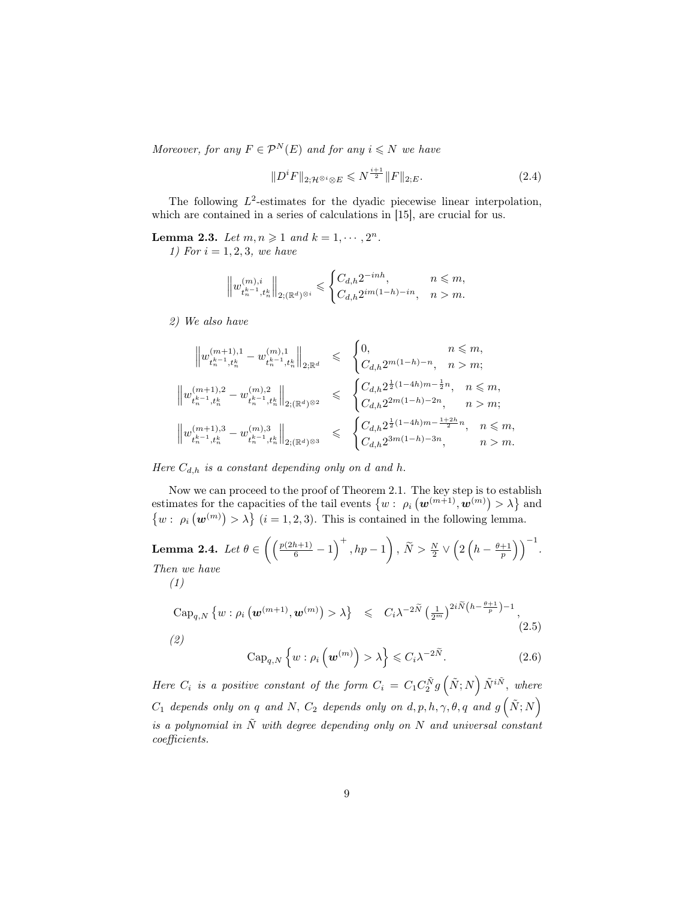Moreover, for any  $F \in \mathcal{P}^N(E)$  and for any  $i \leq N$  we have

$$
||D^i F||_{2; \mathcal{H}^{\otimes i} \otimes E} \leq N^{\frac{i+1}{2}} ||F||_{2; E}.
$$
 (2.4)

The following  $L^2$ -estimates for the dyadic piecewise linear interpolation, which are contained in a series of calculations in [15], are crucial for us.

**Lemma 2.3.** Let  $m, n \geq 1$  and  $k = 1, \dots, 2^n$ . 1) For  $i = 1, 2, 3$ , we have

$$
\left\|w_{t_n^{k-1},t_n^k}^{(m),i}\right\|_{2;(\mathbb{R}^d)^{\otimes i}} \leqslant \begin{cases} C_{d,h}2^{-inh},&n\leqslant m,\\ C_{d,h}2^{im(1-h)-in},&n>m. \end{cases}
$$

2) We also have

$$
\begin{array}{rcl}\n\left\|w_{t_{n}^{k-1},t_{n}^{k}}^{(m+1),1}-w_{t_{n}^{k-1},t_{n}^{k}}^{(m),1}\right\|_{2;\mathbb{R}^{d}} & \leqslant & \begin{cases} 0, & n \leqslant m, \\ \left.C_{d,h}2^{m(1-h)-n}, & n >m; \end{cases} \\
\left\|w_{t_{n}^{k-1},t_{n}^{k}}^{(m+1),2}-w_{t_{n}^{k-1},t_{n}^{k}}^{(m),2}\right\|_{2;\mathbb{R}^{d}}\right\|_{2;\mathbb{R}^{d}} & \leqslant & \begin{cases} C_{d,h}2^{\frac{1}{2}(1-4h)m-\frac{1}{2}n}, & n \leqslant m, \\ \left.C_{d,h}2^{2m(1-h)-2n}, & n >m; \end{cases} \\
\left\|w_{t_{n}^{k-1},t_{n}^{k}}^{(m+1),3}-w_{t_{n}^{k-1},t_{n}^{k}}^{(m),3}\right\|_{2;\mathbb{R}^{d}} & \leqslant & \begin{cases} C_{d,h}2^{\frac{1}{2}(1-4h)m-\frac{1+2h}{2}n}, & n \leqslant m, \\ \left.C_{d,h}2^{3m(1-h)-3n}, & n >m. \end{cases}\n\end{array}
$$

#### Here  $C_{d,h}$  is a constant depending only on d and h.

Now we can proceed to the proof of Theorem 2.1. The key step is to establish estimates for the capacities of the tail events  $\{w : \rho_i(\boldsymbol{w}^{(m+1)}, \boldsymbol{w}^{(m)}) > \lambda\}$  and  $\{w : \rho_i(\mathbf{w}^{(m)}) > \lambda\}$   $(i = 1, 2, 3)$ . This is contained in the following lemma.

**Lemma 2.4.** Let 
$$
\theta \in \left( \left( \frac{p(2h+1)}{6} - 1 \right)^+, hp - 1 \right)
$$
,  $\widetilde{N} > \frac{N}{2} \vee \left( 2\left( h - \frac{\theta+1}{p} \right) \right)^{-1}$ .  
\nThen we have\n $\begin{pmatrix}\n1\n\end{pmatrix}$ 

$$
\text{Cap}_{q,N}\left\{w:\rho_i\left(\mathbf{w}^{(m+1)},\mathbf{w}^{(m)}\right)>\lambda\right\} \leqslant C_i\lambda^{-2\widetilde{N}}\left(\frac{1}{2^m}\right)^{2i\widetilde{N}\left(h-\frac{\theta+1}{p}\right)-1},\tag{2.5}
$$

$$
\operatorname{Cap}_{q,N}\left\{w:\rho_i\left(\boldsymbol{w}^{(m)}\right)>\lambda\right\}\leqslant C_i\lambda^{-2\widetilde{N}}.\tag{2.6}
$$

Here  $C_i$  is a positive constant of the form  $C_i = C_1 C_2^{\tilde{N}} g\left(\tilde{N};N\right) \tilde{N}^{i\tilde{N}}$ , where  $C_1$  depends only on q and N,  $C_2$  depends only on d, p, h,  $\gamma$ ,  $\theta$ , q and  $g\left(\tilde{N};N\right)$ is a polynomial in  $\tilde{N}$  with degree depending only on N and universal constant coefficients.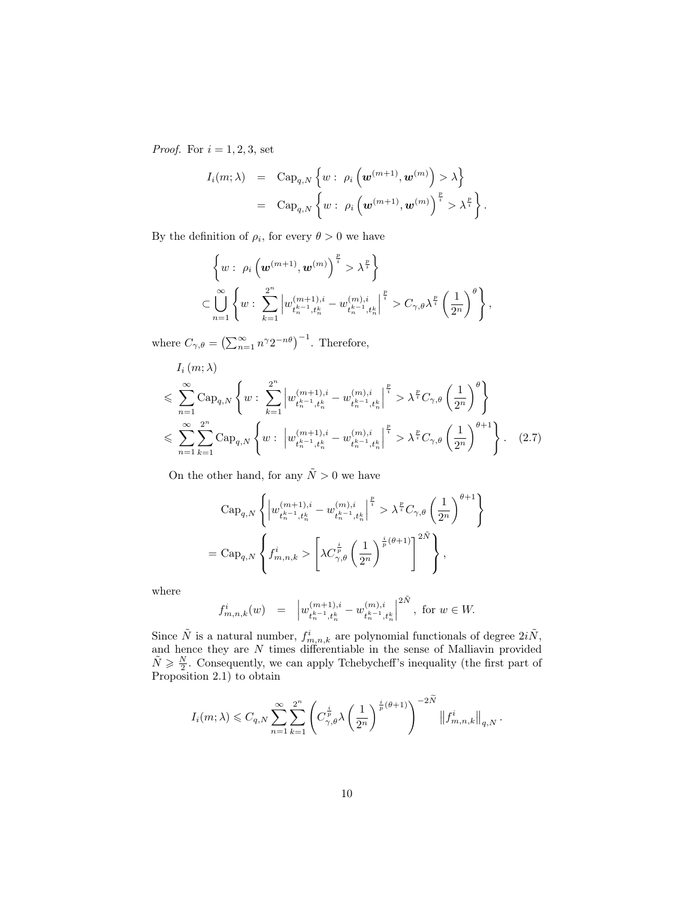*Proof.* For  $i = 1, 2, 3$ , set

$$
I_i(m; \lambda) = \text{Cap}_{q,N} \left\{ w : \rho_i \left( \boldsymbol{w}^{(m+1)}, \boldsymbol{w}^{(m)} \right) > \lambda \right\}
$$
  
= 
$$
\text{Cap}_{q,N} \left\{ w : \rho_i \left( \boldsymbol{w}^{(m+1)}, \boldsymbol{w}^{(m)} \right)^{\frac{p}{i}} > \lambda^{\frac{p}{i}} \right\}.
$$

By the definition of  $\rho_i$ , for every  $\theta > 0$  we have

$$
\left\{ w : \rho_i \left( \mathbf{w}^{(m+1)}, \mathbf{w}^{(m)} \right)^{\frac{p}{i}} > \lambda^{\frac{p}{i}} \right\} \subset \bigcup_{n=1}^{\infty} \left\{ w : \sum_{k=1}^{2^n} \left| w_{t_n^{k-1}, t_n^k}^{(m+1), i} - w_{t_n^{k-1}, t_n^k}^{(m), i} \right|^{\frac{p}{i}} > C_{\gamma, \theta} \lambda^{\frac{p}{i}} \left( \frac{1}{2^n} \right)^{\theta} \right\},
$$

where  $C_{\gamma,\theta} = \left(\sum_{n=1}^{\infty} n^{\gamma} 2^{-n\theta}\right)^{-1}$ . Therefore,

$$
I_{i}(m; \lambda)
$$
\n
$$
\leqslant \sum_{n=1}^{\infty} \text{Cap}_{q,N} \left\{ w : \sum_{k=1}^{2^{n}} \left| w_{t_{n}^{k-1}, t_{n}^{k}}^{(m+1), i} - w_{t_{n}^{k-1}, t_{n}^{k}}^{(m), i} \right| ^{\frac{p}{i}} > \lambda^{\frac{p}{i}} C_{\gamma, \theta} \left( \frac{1}{2^{n}} \right)^{\theta} \right\}
$$
\n
$$
\leqslant \sum_{n=1}^{\infty} \sum_{k=1}^{2^{n}} \text{Cap}_{q,N} \left\{ w : \left| w_{t_{n}^{k-1}, t_{n}^{k}}^{(m+1), i} - w_{t_{n}^{k-1}, t_{n}^{k}}^{(m), i} \right| ^{\frac{p}{i}} > \lambda^{\frac{p}{i}} C_{\gamma, \theta} \left( \frac{1}{2^{n}} \right)^{\theta+1} \right\}. \quad (2.7)
$$

On the other hand, for any  $\tilde{N} > 0$  we have

$$
\begin{split} &\text{Cap}_{q,N}\left\{\left|w_{t_n^{k-1},t_n^k}^{(m+1),i}-w_{t_n^{k-1},t_n^k}^{(m),i}\right|^{\frac{p}{i}}>\lambda^{\frac{p}{i}}C_{\gamma,\theta}\left(\frac{1}{2^n}\right)^{\theta+1}\right\} \\ &=\text{Cap}_{q,N}\left\{f_{m,n,k}^i>\left[\lambda C_{\gamma,\theta}^{\frac{i}{p}}\left(\frac{1}{2^n}\right)^{\frac{i}{p}(\theta+1)}\right]^{2\tilde{N}}\right\}, \end{split}
$$

where

$$
f_{m,n,k}^i(w) \quad = \quad \left| w_{t_n^{k-1},t_n^k}^{(m+1),i} - w_{t_n^{k-1},t_n^k}^{(m),i} \right|^{2\tilde{N}}, \text{ for } w \in W.
$$

Since  $\tilde{N}$  is a natural number,  $f_{m,n,k}^i$  are polynomial functionals of degree  $2i\tilde{N}$ , and hence they are N times differentiable in the sense of Malliavin provided  $\tilde{N} \geq \frac{N}{2}$ . Consequently, we can apply Tchebycheff's inequality (the first part of Proposition 2.1) to obtain

$$
I_i(m;\lambda) \leqslant C_{q,N} \sum_{n=1}^{\infty} \sum_{k=1}^{2^n} \left( C_{\gamma,\theta}^{\frac{i}{p}} \lambda \left( \frac{1}{2^n} \right)^{\frac{i}{p}(\theta+1)} \right)^{-2\tilde{N}} \left\| f_{m,n,k}^i \right\|_{q,N}.
$$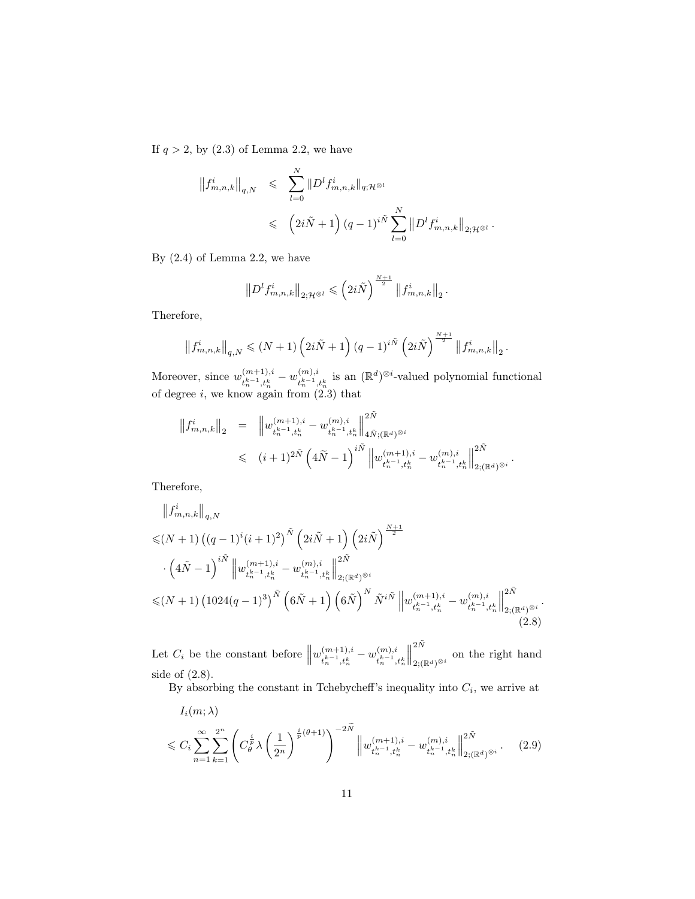If  $q > 2$ , by  $(2.3)$  of Lemma 2.2, we have

$$
\begin{aligned}\n\left\|f_{m,n,k}^i\right\|_{q,N} &\leqslant \sum_{l=0}^N \|D^l f_{m,n,k}^i\|_{q;\mathcal{H}^{\otimes l}} \\
&\leqslant \left(2i\tilde{N}+1\right)(q-1)^{i\tilde{N}} \sum_{l=0}^N \left\|D^l f_{m,n,k}^i\right\|_{2;\mathcal{H}^{\otimes l}}\n\end{aligned}
$$

.

.

By (2.4) of Lemma 2.2, we have

$$
\left\|D^{l} f_{m,n,k}^{i}\right\|_{2; \mathcal{H}^{\otimes l}} \leqslant \left(2i\tilde{N}\right)^{\frac{N+1}{2}} \left\|f_{m,n,k}^{i}\right\|_{2}.
$$

Therefore,

$$
\left\|f_{m,n,k}^i\right\|_{q,N} \leqslant (N+1)\left(2i\tilde{N}+1\right)(q-1)^{i\tilde{N}}\left(2i\tilde{N}\right)^{\frac{N+1}{2}}\left\|f_{m,n,k}^i\right\|_2
$$

Moreover, since  $w_{\mu_{k-1} \mu_k}^{(m+1),i}$  $\binom{(m+1),i}{t_n^{k-1},t_n^k} - w^{(m),i}_{t_n^{k-1},t}$  $\binom{(m),i}{t_{n}^{k-1},t_{n}^{k}}$  is an  $(\mathbb{R}^{d})^{\otimes i}$ -valued polynomial functional of degree  $i$ , we know again from  $(2.3)$  that

$$
\begin{array}{lcl} \left\|f_{m,n,k}^{i}\right\|_{2} & = & \left\|w_{t_{n}^{k-1},t_{n}^{k}}^{(m+1),i}-w_{t_{n}^{k-1},t_{n}^{k}}^{(m),i}\right\|_{4\tilde{N};(\mathbb{R}^{d})^{\otimes i}}^{2\tilde{N}} \\ \\ & \leqslant & \left(i+1\right)^{2\tilde{N}}\left(4\tilde{N}-1\right)^{i\tilde{N}}\left\|w_{t_{n}^{k-1},t_{n}^{k}}^{(m+1),i}-w_{t_{n}^{k-1},t_{n}^{k}}^{(m),i}\right\|_{2;(\mathbb{R}^{d})^{\otimes i}}^{2\tilde{N}}. \end{array}
$$

Therefore,

$$
\|f_{m,n,k}^{i}\|_{q,N} \leq (N+1) \left( (q-1)^{i} (i+1)^{2} \right)^{\tilde{N}} \left( 2i\tilde{N}+1 \right) \left( 2i\tilde{N} \right)^{\frac{N+1}{2}} \n\cdot \left( 4\tilde{N}-1 \right)^{i\tilde{N}} \left\| w_{t_{n-1},t_{n}^{k}}^{(m+1),i} - w_{t_{n-1},t_{n}^{k}}^{(m),i} \right\|_{2;(\mathbb{R}^{d})^{\otimes i}}^{2\tilde{N}} \n\leq (N+1) \left( 1024(q-1)^{3} \right)^{\tilde{N}} \left( 6\tilde{N}+1 \right) \left( 6\tilde{N} \right)^{N} \tilde{N}^{i\tilde{N}} \left\| w_{t_{n-1},t_{n}^{k}}^{(m+1),i} - w_{t_{n-1},t_{n}^{k}}^{(m),i} \right\|_{2;(\mathbb{R}^{d})^{\otimes i}}^{2\tilde{N}}.
$$
\n(2.8)

Let  $C_i$  be the constant before  $||w_{t_n^{k-1},t_n^k}^{(m+1),i}||$  $\binom{m+1}{t_n^{k-1},t_n^k} - w^{(m),i}_{t_n^{k-1},t_n^k}$  $t_n^{k-1}, t_n^k$  $\biggl\| \biggr.$  $2\tilde{N}$  $_{2;(\mathbb{R}^d)^{\otimes i}}$  on the right hand side of (2.8).

By absorbing the constant in Tchebycheff's inequality into  $C_i$ , we arrive at

$$
I_i(m; \lambda)
$$
  

$$
\leq C_i \sum_{n=1}^{\infty} \sum_{k=1}^{2^n} \left( C_\theta^{\frac{i}{p}} \lambda \left( \frac{1}{2^n} \right)^{\frac{i}{p}(\theta+1)} \right)^{-2\widetilde{N}} \left\| w_{t_n^{k-1}, t_n^k}^{(m+1), i} - w_{t_n^{k-1}, t_n^k}^{(m), i} \right\|_{2; (\mathbb{R}^d)^{\otimes i}}^{2\widetilde{N}}.
$$
 (2.9)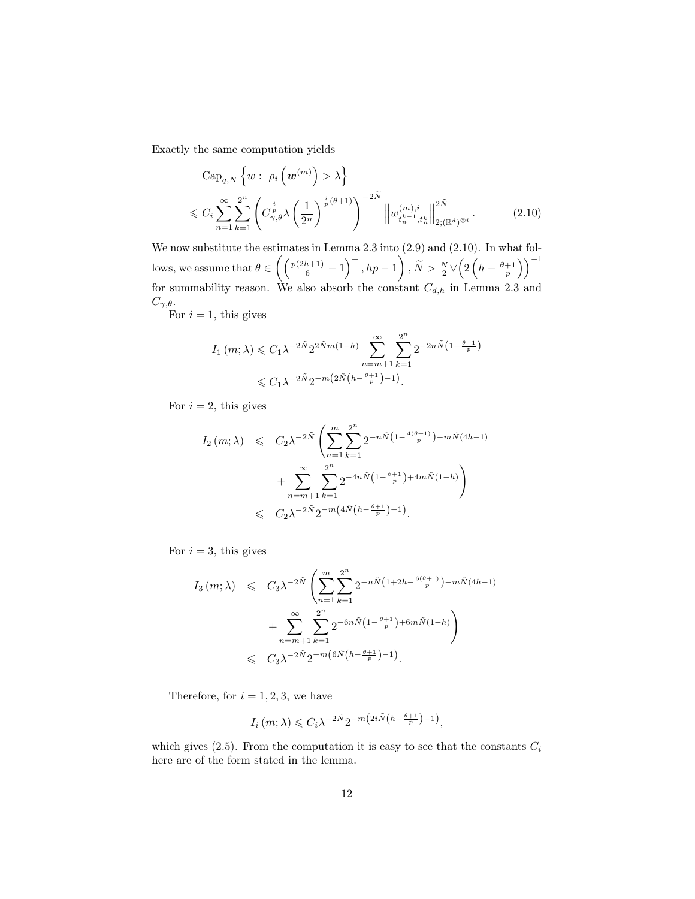Exactly the same computation yields

$$
\text{Cap}_{q,N}\left\{w:\ \rho_i\left(\boldsymbol{w}^{(m)}\right) > \lambda\right\}
$$
\n
$$
\leqslant C_i \sum_{n=1}^{\infty} \sum_{k=1}^{2^n} \left(C_{\gamma,\theta}^{\frac{i}{p}} \lambda\left(\frac{1}{2^n}\right)^{\frac{i}{p}(\theta+1)}\right)^{-2\tilde{N}} \left\|w_{t_n^{(m)},t_n^{(m)}}^{(m),i}\right\|_{2;(\mathbb{R}^d)^{\otimes i}}^{2\tilde{N}}.
$$
\n
$$
(2.10)
$$

We now substitute the estimates in Lemma 2.3 into  $(2.9)$  and  $(2.10)$ . In what follows, we assume that  $\theta \in \left( \left( \frac{p(2h+1)}{6} - 1 \right)^+$ ,  $hp - 1 \right)$ ,  $\widetilde{N} > \frac{N}{2} \vee \left( 2\left( h - \frac{\theta+1}{p} \right) \right)^{-1}$ for summability reason. We also absorb the constant  $C_{d,h}$  in Lemma 2.3 and  $C_{\gamma,\theta}$ .

For  $i = 1$ , this gives

$$
I_1(m;\lambda) \leq C_1 \lambda^{-2\tilde{N}} 2^{2\tilde{N}m(1-h)} \sum_{n=m+1}^{\infty} \sum_{k=1}^{2^n} 2^{-2n\tilde{N}\left(1 - \frac{\theta+1}{p}\right)}
$$
  

$$
\leq C_1 \lambda^{-2\tilde{N}} 2^{-m\left(2\tilde{N}\left(h - \frac{\theta+1}{p}\right) - 1\right)}.
$$

For  $i = 2$ , this gives

$$
I_2(m; \lambda) \leq C_2 \lambda^{-2\tilde{N}} \left( \sum_{n=1}^m \sum_{k=1}^{2^n} 2^{-n\tilde{N} \left(1 - \frac{4(\theta + 1)}{p}\right) - m\tilde{N}(4h - 1)} + \sum_{n=m+1}^{\infty} \sum_{k=1}^{2^n} 2^{-4n\tilde{N} \left(1 - \frac{\theta + 1}{p}\right) + 4m\tilde{N}(1-h)} \right) \leq C_2 \lambda^{-2\tilde{N}} 2^{-m\left(4\tilde{N}\left(h - \frac{\theta + 1}{p}\right) - 1\right)}.
$$

For  $i = 3$ , this gives

$$
I_3(m; \lambda) \leq C_3 \lambda^{-2\tilde{N}} \left( \sum_{n=1}^m \sum_{k=1}^{2^n} 2^{-n\tilde{N} \left( 1 + 2h - \frac{6(\theta + 1)}{p} \right) - m\tilde{N} (4h - 1)} + \sum_{n=m+1}^{\infty} \sum_{k=1}^{2^n} 2^{-6n\tilde{N} \left( 1 - \frac{\theta + 1}{p} \right) + 6m\tilde{N} (1 - h)} \right) \leq C_3 \lambda^{-2\tilde{N}} 2^{-m \left( 6\tilde{N} \left( h - \frac{\theta + 1}{p} \right) - 1 \right)}.
$$

Therefore, for  $i = 1, 2, 3$ , we have

$$
I_i(m; \lambda) \leq C_i \lambda^{-2\tilde{N}} 2^{-m \left( 2i\tilde{N} \left( h - \frac{\theta + 1}{p} \right) - 1 \right)},
$$

which gives  $(2.5)$ . From the computation it is easy to see that the constants  $C_i$ here are of the form stated in the lemma.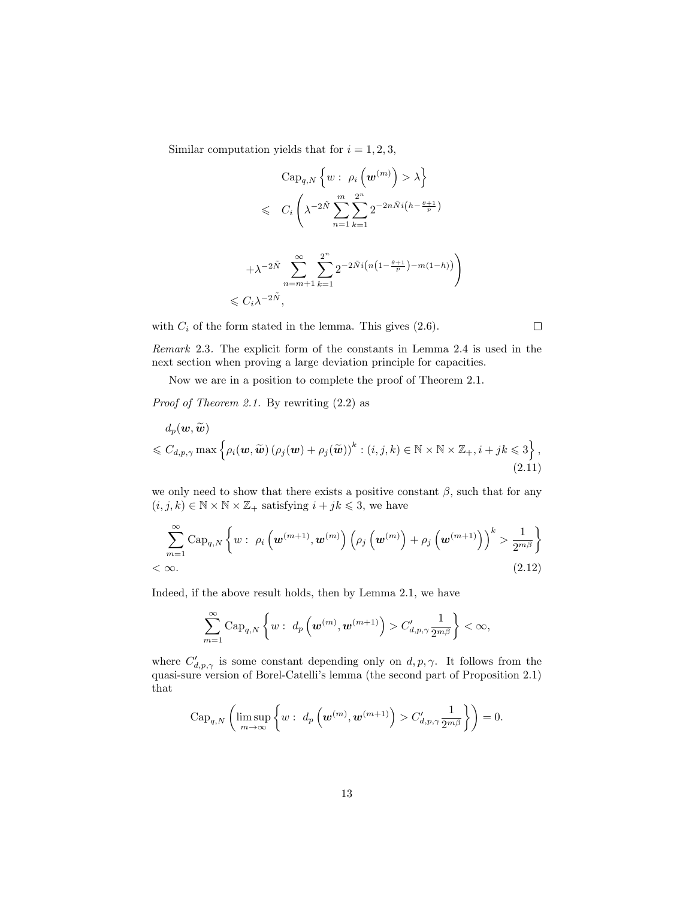Similar computation yields that for  $i = 1, 2, 3$ ,

$$
\begin{aligned}\n\text{Cap}_{q,N} \left\{ w : \rho_i \left( \boldsymbol{w}^{(m)} \right) > \lambda \right\} \\
&\leqslant & C_i \left( \lambda^{-2\tilde{N}} \sum_{n=1}^m \sum_{k=1}^{2^n} 2^{-2n\tilde{N}i \left( h - \frac{\theta + 1}{p} \right)} \right.\n\end{aligned}
$$

$$
+\lambda^{-2\tilde{N}}\sum_{n=m+1}^{\infty}\sum_{k=1}^{\infty}2^{-2\tilde{N}i\left(n\left(1-\frac{\theta+1}{p}\right)-m(1-h)\right)}\right)
$$
  
\$\leqslant C\_i\lambda^{-2\tilde{N}},

with  $C_i$  of the form stated in the lemma. This gives  $(2.6)$ .

 $\Box$ 

Remark 2.3. The explicit form of the constants in Lemma 2.4 is used in the next section when proving a large deviation principle for capacities.

Now we are in a position to complete the proof of Theorem 2.1.

Proof of Theorem 2.1. By rewriting (2.2) as

$$
d_p(\boldsymbol{w}, \widetilde{\boldsymbol{w}})
$$
  
\$\leqslant C\_{d,p,\gamma} \max \{ \rho\_i(\boldsymbol{w}, \widetilde{\boldsymbol{w}}) (\rho\_j(\boldsymbol{w}) + \rho\_j(\widetilde{\boldsymbol{w}}))^k : (i, j, k) \in \mathbb{N} \times \mathbb{N} \times \mathbb{Z}\_+, i + jk \leqslant 3 \},\$ (2.11)

we only need to show that there exists a positive constant  $\beta$ , such that for any  $(i, j, k) \in \mathbb{N} \times \mathbb{N} \times \mathbb{Z}_+$  satisfying  $i + jk \leqslant 3$ , we have

$$
\sum_{m=1}^{\infty} \text{Cap}_{q,N} \left\{ w : \rho_i \left( \boldsymbol{w}^{(m+1)}, \boldsymbol{w}^{(m)} \right) \left( \rho_j \left( \boldsymbol{w}^{(m)} \right) + \rho_j \left( \boldsymbol{w}^{(m+1)} \right) \right)^k > \frac{1}{2^{m\beta}} \right\}
$$
  
< \infty. (2.12)

Indeed, if the above result holds, then by Lemma 2.1, we have

$$
\sum_{m=1}^{\infty} \mathrm{Cap}_{q,N}\left\{ w:\ d_p\left(\boldsymbol{w}^{(m)}, \boldsymbol{w}^{(m+1)}\right) > C'_{d,p,\gamma}\frac{1}{2^{m\beta}}\right\} < \infty,
$$

where  $C'_{d,p,\gamma}$  is some constant depending only on  $d, p, \gamma$ . It follows from the quasi-sure version of Borel-Catelli's lemma (the second part of Proposition 2.1) that

$$
\mathrm{Cap}_{q,N}\left(\limsup_{m\to\infty}\left\{w:\ d_p\left(\boldsymbol{w}^{(m)},\boldsymbol{w}^{(m+1)}\right)>C'_{d,p,\gamma}\frac{1}{2^{m\beta}}\right\}\right)=0.
$$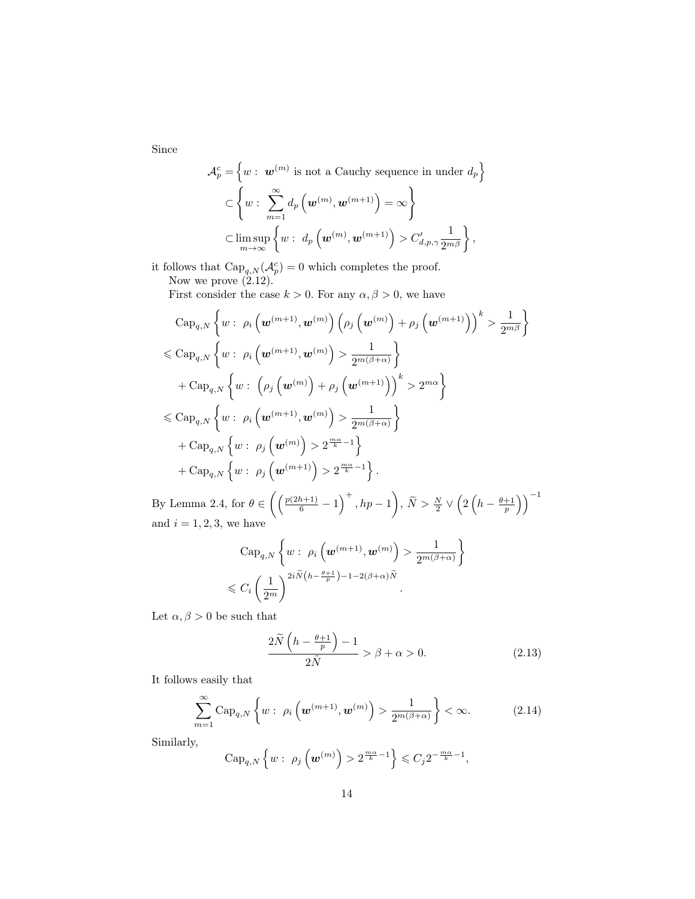Since

$$
\mathcal{A}_p^c = \left\{ w : \ \mathbf{w}^{(m)} \text{ is not a Cauchy sequence in under } d_p \right\}
$$

$$
\subset \left\{ w : \sum_{m=1}^{\infty} d_p \left( \mathbf{w}^{(m)}, \mathbf{w}^{(m+1)} \right) = \infty \right\}
$$

$$
\subset \limsup_{m \to \infty} \left\{ w : \ d_p \left( \mathbf{w}^{(m)}, \mathbf{w}^{(m+1)} \right) > C'_{d, p, \gamma} \frac{1}{2^{m \beta}} \right\},
$$

it follows that  $\text{Cap}_{q,N}(\mathcal{A}_p^c)=0$  which completes the proof. Now we prove  $(\check{2}.12)$ .

First consider the case  $k > 0$ . For any  $\alpha, \beta > 0$ , we have

$$
\begin{split} &\text{Cap}_{q,N}\left\{w:\;\rho_i\left(\bm{w}^{(m+1)},\bm{w}^{(m)}\right)\left(\rho_j\left(\bm{w}^{(m)}\right)+\rho_j\left(\bm{w}^{(m+1)}\right)\right)^k>\frac{1}{2^{m\beta}}\right\} \\ &\leqslant \text{Cap}_{q,N}\left\{w:\;\rho_i\left(\bm{w}^{(m+1)},\bm{w}^{(m)}\right)>\frac{1}{2^{m(\beta+\alpha)}}\right\} \\ &+\text{Cap}_{q,N}\left\{w:\;\left(\rho_j\left(\bm{w}^{(m)}\right)+\rho_j\left(\bm{w}^{(m+1)}\right)\right)^k>2^{m\alpha}\right\} \\ &\leqslant \text{Cap}_{q,N}\left\{w:\;\rho_i\left(\bm{w}^{(m+1)},\bm{w}^{(m)}\right)>\frac{1}{2^{m(\beta+\alpha)}}\right\} \\ &+\text{Cap}_{q,N}\left\{w:\;\rho_j\left(\bm{w}^{(m)}\right)>2^{\frac{m\alpha}{k}-1}\right\} \\ &+\text{Cap}_{q,N}\left\{w:\;\rho_j\left(\bm{w}^{(m+1)}\right)>2^{\frac{m\alpha}{k}-1}\right\}.\end{split}
$$

By Lemma 2.4, for  $\theta \in \left( \left( \frac{p(2h+1)}{6} - 1 \right)^+$ ,  $hp - 1 \right)$ ,  $\widetilde{N} > \frac{N}{2} \vee \left( 2\left( h - \frac{\theta+1}{p} \right) \right)^{-1}$ and  $i = 1, 2, 3$ , we have

$$
\text{Cap}_{q,N}\left\{w:\ \rho_i\left(\boldsymbol{w}^{(m+1)},\boldsymbol{w}^{(m)}\right) > \frac{1}{2^{m(\beta+\alpha)}}\right\}
$$
\n
$$
\leqslant C_i \left(\frac{1}{2^m}\right)^{2i\widetilde{N}\left(h-\frac{\theta+1}{p}\right)-1-2(\beta+\alpha)\widetilde{N}}.
$$

Let  $\alpha, \beta > 0$  be such that

$$
\frac{2\widetilde{N}\left(h - \frac{\theta + 1}{p}\right) - 1}{2\widetilde{N}} > \beta + \alpha > 0.
$$
\n(2.13)

It follows easily that

$$
\sum_{m=1}^{\infty} \text{Cap}_{q,N} \left\{ w : \rho_i \left( \boldsymbol{w}^{(m+1)}, \boldsymbol{w}^{(m)} \right) > \frac{1}{2^{m(\beta+\alpha)}} \right\} < \infty.
$$
 (2.14)

Similarly,

$$
\operatorname{Cap}_{q,N}\left\{w:\ \rho_j\left(\boldsymbol{w}^{(m)}\right)>2^{\frac{m\alpha}{k}-1}\right\}\leqslant C_j2^{-\frac{m\alpha}{k}-1},
$$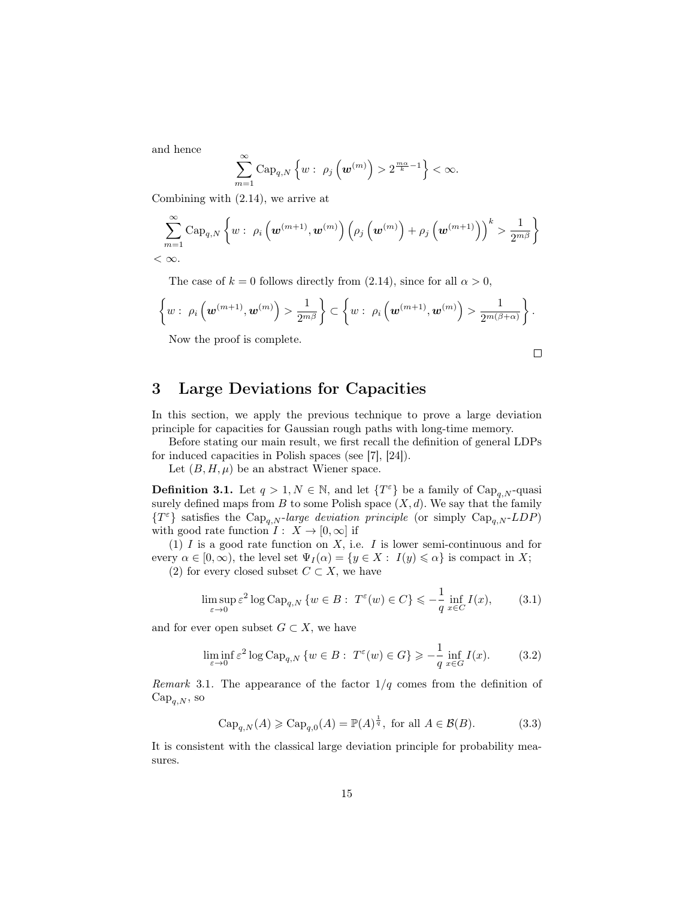and hence

$$
\sum_{m=1}^{\infty} \mathrm{Cap}_{q,N}\left\{w:\ \rho_j\left(\boldsymbol{w}^{(m)}\right)>2^{\frac{m\alpha}{k}-1}\right\}<\infty.
$$

Combining with (2.14), we arrive at

$$
\sum_{m=1}^{\infty} \mathrm{Cap}_{q,N}\left\{ w:\ \rho_i\left(\boldsymbol{w}^{(m+1)},\boldsymbol{w}^{(m)}\right)\left(\rho_j\left(\boldsymbol{w}^{(m)}\right)+\rho_j\left(\boldsymbol{w}^{(m+1)}\right)\right)^k > \frac{1}{2^{m\beta}}\right\}
$$
  

$$
< \infty.
$$

The case of  $k = 0$  follows directly from (2.14), since for all  $\alpha > 0$ ,

$$
\left\{w:\ \rho_i\left(\boldsymbol{w}^{(m+1)},\boldsymbol{w}^{(m)}\right)>\frac{1}{2^{m\beta}}\right\}\subset \left\{w:\ \rho_i\left(\boldsymbol{w}^{(m+1)},\boldsymbol{w}^{(m)}\right)>\frac{1}{2^{m(\beta+\alpha)}}\right\}.
$$

Now the proof is complete.

$$
\qquad \qquad \Box
$$

# 3 Large Deviations for Capacities

In this section, we apply the previous technique to prove a large deviation principle for capacities for Gaussian rough paths with long-time memory.

Before stating our main result, we first recall the definition of general LDPs for induced capacities in Polish spaces (see [7], [24]).

Let  $(B, H, \mu)$  be an abstract Wiener space.

**Definition 3.1.** Let  $q > 1, N \in \mathbb{N}$ , and let  $\{T^{\varepsilon}\}\)$  be a family of  $\text{Cap}_{q,N}$ -quasi surely defined maps from  $B$  to some Polish space  $(X, d)$ . We say that the family  ${T^{\varepsilon}}$  satisfies the Cap<sub>q,N</sub>-large deviation principle (or simply Cap<sub>q,N</sub>-LDP) with good rate function  $I: X \to [0, \infty]$  if

(1)  $I$  is a good rate function on  $X$ , i.e.  $I$  is lower semi-continuous and for every  $\alpha \in [0,\infty)$ , the level set  $\Psi_I(\alpha) = \{y \in X : I(y) \leq \alpha\}$  is compact in X;

(2) for every closed subset  $C \subset X$ , we have

$$
\limsup_{\varepsilon \to 0} \varepsilon^2 \log \text{Cap}_{q,N} \left\{ w \in B : \ T^{\varepsilon}(w) \in C \right\} \leq -\frac{1}{q} \inf_{x \in C} I(x), \tag{3.1}
$$

and for ever open subset  $G \subset X$ , we have

$$
\liminf_{\varepsilon \to 0} \varepsilon^2 \log \text{Cap}_{q,N} \left\{ w \in B : \ T^{\varepsilon}(w) \in G \right\} \geqslant -\frac{1}{q} \inf_{x \in G} I(x). \tag{3.2}
$$

Remark 3.1. The appearance of the factor  $1/q$  comes from the definition of  $Cap_{q,N}$ , so

$$
\operatorname{Cap}_{q,N}(A) \geqslant \operatorname{Cap}_{q,0}(A) = \mathbb{P}(A)^{\frac{1}{q}}, \text{ for all } A \in \mathcal{B}(B). \tag{3.3}
$$

It is consistent with the classical large deviation principle for probability measures.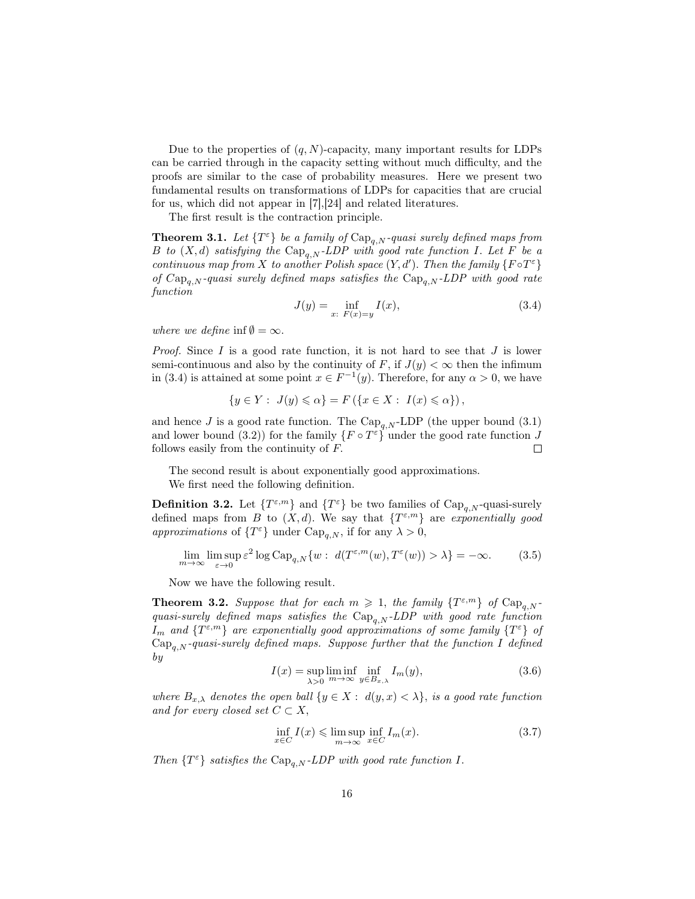Due to the properties of  $(q, N)$ -capacity, many important results for LDPs can be carried through in the capacity setting without much difficulty, and the proofs are similar to the case of probability measures. Here we present two fundamental results on transformations of LDPs for capacities that are crucial for us, which did not appear in [7],[24] and related literatures.

The first result is the contraction principle.

**Theorem 3.1.** Let  $\{T^{\varepsilon}\}\$  be a family of  $\text{Cap}_{q,N}$ -quasi surely defined maps from B to  $(X, d)$  satisfying the  $\text{Cap}_{a,N}$ -LDP with good rate function I. Let F be a continuous map from X to another Polish space  $(Y, d')$ . Then the family  $\{F \circ T^{\varepsilon}\}\$ of  $Cap_{a,N}$ -quasi surely defined maps satisfies the  $Cap_{a,N}$ -LDP with good rate function

$$
J(y) = \inf_{x: F(x) = y} I(x),
$$
\n(3.4)

where we define inf $\emptyset = \infty$ .

*Proof.* Since  $I$  is a good rate function, it is not hard to see that  $J$  is lower semi-continuous and also by the continuity of F, if  $J(y) < \infty$  then the infimum in (3.4) is attained at some point  $x \in F^{-1}(y)$ . Therefore, for any  $\alpha > 0$ , we have

$$
\{y \in Y: J(y) \leq \alpha\} = F(\{x \in X: I(x) \leq \alpha\}),
$$

and hence J is a good rate function. The  $\text{Cap}_{q,N}$ -LDP (the upper bound (3.1) and lower bound (3.2)) for the family  $\{F \circ T^{\varepsilon}\}\$ under the good rate function J follows easily from the continuity of F.  $\Box$ 

The second result is about exponentially good approximations.

We first need the following definition.

**Definition 3.2.** Let  $\{T^{\varepsilon,m}\}\$  and  $\{T^{\varepsilon}\}\$  be two families of  $\text{Cap}_{q,N}$ -quasi-surely defined maps from B to  $(X, d)$ . We say that  $\{T^{\varepsilon,m}\}\$ are exponentially good approximations of  $\{T^{\varepsilon}\}\$  under  $\text{Cap}_{q,N}$ , if for any  $\lambda > 0$ ,

$$
\lim_{m \to \infty} \limsup_{\varepsilon \to 0} \varepsilon^2 \log \text{Cap}_{q,N}\{w : d(T^{\varepsilon,m}(w), T^{\varepsilon}(w)) > \lambda\} = -\infty.
$$
 (3.5)

Now we have the following result.

**Theorem 3.2.** Suppose that for each  $m \geq 1$ , the family  $\{T^{\varepsilon,m}\}\$  of  $\text{Cap}_{q,N}$ quasi-surely defined maps satisfies the  $\text{Cap}_{q,N}$ -LDP with good rate function  $I_m$  and  $\{T^{\varepsilon,m}\}$  are exponentially good approximations of some family  $\{T^{\varepsilon}\}$  of  $Cap_{q,N}$ -quasi-surely defined maps. Suppose further that the function I defined by

$$
I(x) = \sup_{\lambda > 0} \liminf_{m \to \infty} \inf_{y \in B_{x,\lambda}} I_m(y),
$$
\n(3.6)

where  $B_{x,\lambda}$  denotes the open ball  $\{y \in X : d(y,x) < \lambda\}$ , is a good rate function and for every closed set  $C \subset X$ ,

$$
\inf_{x \in C} I(x) \le \limsup_{m \to \infty} \inf_{x \in C} I_m(x). \tag{3.7}
$$

Then  $\{T^{\varepsilon}\}\$  satisfies the Cap<sub>q,N</sub>-LDP with good rate function I.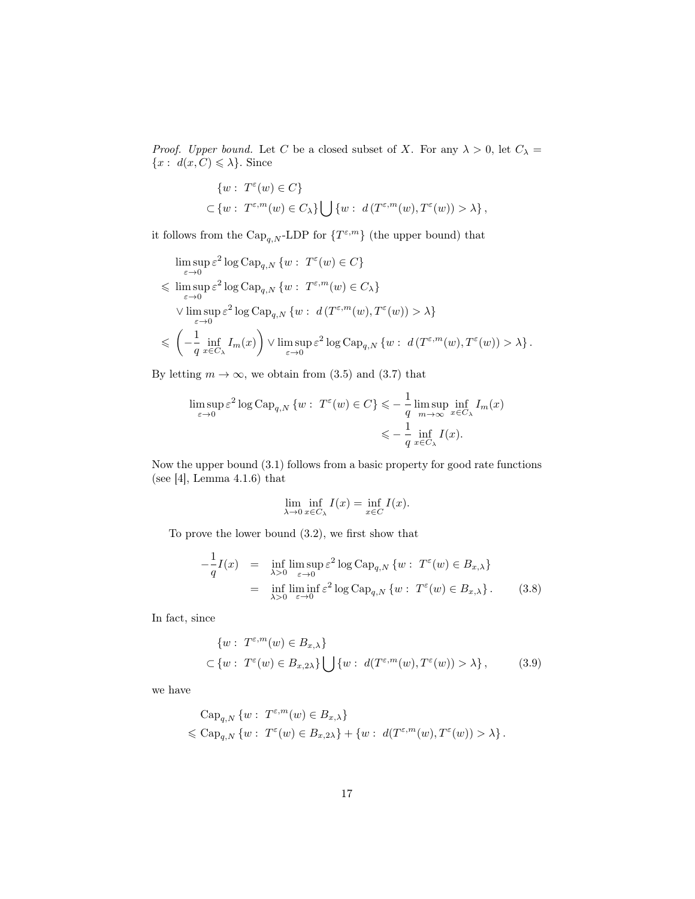*Proof.* Upper bound. Let C be a closed subset of X. For any  $\lambda > 0$ , let  $C_{\lambda} =$  ${x : d(x, C) \leq \lambda}$ . Since

$$
\{w: T^{\varepsilon}(w) \in C\}
$$
  

$$
\subset \{w: T^{\varepsilon,m}(w) \in C_{\lambda}\} \bigcup \{w: d(T^{\varepsilon,m}(w), T^{\varepsilon}(w)) > \lambda\},\
$$

it follows from the  $\text{Cap}_{q,N}$ -LDP for  $\{T^{\varepsilon,m}\}$  (the upper bound) that

$$
\begin{aligned} &\limsup_{\varepsilon\to 0}\varepsilon^2\log\text{Cap}_{q,N}\left\{w:\ T^\varepsilon(w)\in C\right\}\\ &\leqslant \limsup_{\varepsilon\to 0}\varepsilon^2\log\text{Cap}_{q,N}\left\{w:\ T^{\varepsilon,m}(w)\in C_\lambda\right\}\\ &\vee \limsup_{\varepsilon\to 0}\varepsilon^2\log\text{Cap}_{q,N}\left\{w:\ d\left(T^{\varepsilon,m}(w),T^\varepsilon(w)\right)>\lambda\right\}\\ &\leqslant \left(-\frac{1}{q}\inf_{x\in C_\lambda}I_m(x)\right)\vee \limsup_{\varepsilon\to 0}\varepsilon^2\log\text{Cap}_{q,N}\left\{w:\ d\left(T^{\varepsilon,m}(w),T^\varepsilon(w)\right)>\lambda\right\}. \end{aligned}
$$

By letting  $m \to \infty$ , we obtain from (3.5) and (3.7) that

$$
\limsup_{\varepsilon \to 0} \varepsilon^2 \log \text{Cap}_{q,N} \left\{ w : T^{\varepsilon}(w) \in C \right\} \leqslant -\frac{1}{q} \limsup_{m \to \infty} \inf_{x \in C_{\lambda}} I_m(x)
$$

$$
\leqslant -\frac{1}{q} \inf_{x \in C_{\lambda}} I(x).
$$

Now the upper bound (3.1) follows from a basic property for good rate functions (see [4], Lemma 4.1.6) that

$$
\lim_{\lambda \to 0} \inf_{x \in C_{\lambda}} I(x) = \inf_{x \in C} I(x).
$$

To prove the lower bound (3.2), we first show that

$$
-\frac{1}{q}I(x) = \inf_{\lambda>0} \limsup_{\varepsilon \to 0} \varepsilon^2 \log \text{Cap}_{q,N} \{ w : T^{\varepsilon}(w) \in B_{x,\lambda} \}
$$
  
= 
$$
\inf_{\lambda>0} \liminf_{\varepsilon \to 0} \varepsilon^2 \log \text{Cap}_{q,N} \{ w : T^{\varepsilon}(w) \in B_{x,\lambda} \}.
$$
 (3.8)

In fact, since

$$
\{w: T^{\varepsilon,m}(w) \in B_{x,\lambda}\}\
$$
  

$$
\subset \{w: T^{\varepsilon}(w) \in B_{x,2\lambda}\}\bigcup \{w: d(T^{\varepsilon,m}(w), T^{\varepsilon}(w)) > \lambda\},
$$
 (3.9)

we have

$$
\begin{aligned} &\text{Cap}_{q,N}\left\{w:\ T^{\varepsilon,m}(w)\in B_{x,\lambda}\right\} \\ &\leqslant \text{Cap}_{q,N}\left\{w:\ T^{\varepsilon}(w)\in B_{x,2\lambda}\right\}+\left\{w:\ d(T^{\varepsilon,m}(w),T^{\varepsilon}(w))>\lambda\right\}. \end{aligned}
$$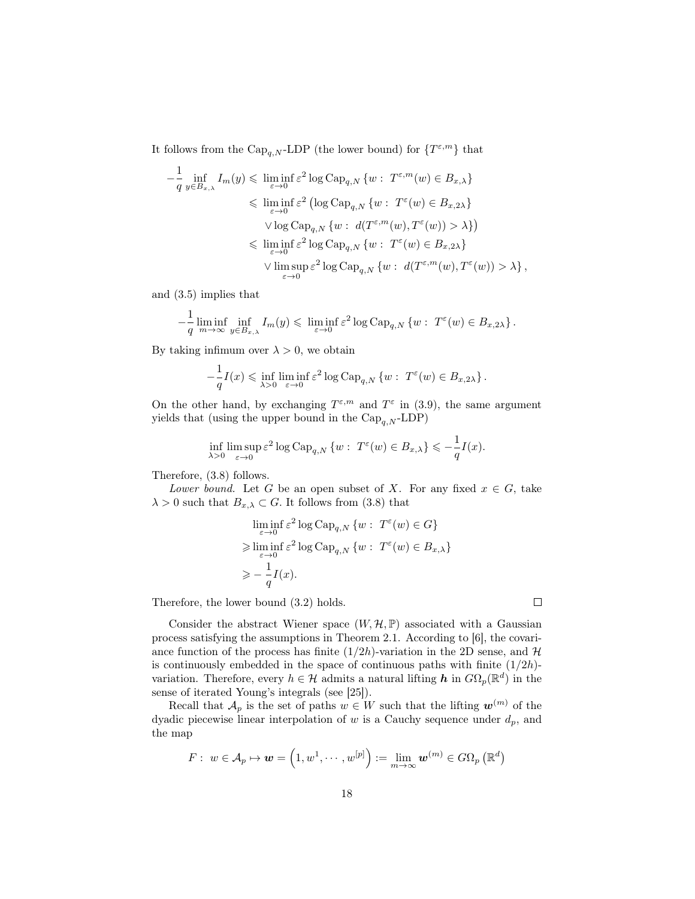It follows from the  $\text{Cap}_{q,N}$ -LDP (the lower bound) for  $\{T^{\varepsilon,m}\}\)$  that

$$
-\frac{1}{q} \inf_{y \in B_{x,\lambda}} I_m(y) \leq \liminf_{\varepsilon \to 0} \varepsilon^2 \log \text{Cap}_{q,N} \{ w : T^{\varepsilon,m}(w) \in B_{x,\lambda} \}
$$
  

$$
\leq \liminf_{\varepsilon \to 0} \varepsilon^2 \left( \log \text{Cap}_{q,N} \{ w : T^{\varepsilon}(w) \in B_{x,2\lambda} \} \right)
$$
  

$$
\vee \log \text{Cap}_{q,N} \{ w : d(T^{\varepsilon,m}(w), T^{\varepsilon}(w)) > \lambda \} \right)
$$
  

$$
\leq \liminf_{\varepsilon \to 0} \varepsilon^2 \log \text{Cap}_{q,N} \{ w : T^{\varepsilon}(w) \in B_{x,2\lambda} \}
$$
  

$$
\vee \limsup_{\varepsilon \to 0} \varepsilon^2 \log \text{Cap}_{q,N} \{ w : d(T^{\varepsilon,m}(w), T^{\varepsilon}(w)) > \lambda \},
$$

and (3.5) implies that

$$
-\frac{1}{q}\liminf_{m\to\infty}\inf_{y\in B_{x,\lambda}}I_m(y)\leqslant \liminf_{\varepsilon\to 0}\varepsilon^2\log {\rm Cap}_{q,N}\left\{w:\ T^\varepsilon(w)\in B_{x,2\lambda}\right\}.
$$

By taking infimum over  $\lambda > 0$ , we obtain

$$
-\frac{1}{q}I(x) \leq \inf_{\lambda>0} \liminf_{\varepsilon \to 0} \varepsilon^2 \log \text{Cap}_{q,N} \left\{ w : T^{\varepsilon}(w) \in B_{x,2\lambda} \right\}.
$$

On the other hand, by exchanging  $T^{\varepsilon,m}$  and  $T^{\varepsilon}$  in (3.9), the same argument yields that (using the upper bound in the  $\text{Cap}_{q,N}$ -LDP)

$$
\inf_{\lambda>0} \limsup_{\varepsilon \to 0} \varepsilon^2 \log \mathrm{Cap}_{q,N} \left\{ w : T^{\varepsilon}(w) \in B_{x,\lambda} \right\} \leqslant -\frac{1}{q} I(x).
$$

Therefore, (3.8) follows.

Lower bound. Let G be an open subset of X. For any fixed  $x \in G$ , take  $\lambda > 0$  such that  $B_{x,\lambda} \subset G$ . It follows from (3.8) that

$$
\liminf_{\varepsilon \to 0} \varepsilon^2 \log \text{Cap}_{q,N} \{ w : T^{\varepsilon}(w) \in G \}
$$
  
\n
$$
\geq \liminf_{\varepsilon \to 0} \varepsilon^2 \log \text{Cap}_{q,N} \{ w : T^{\varepsilon}(w) \in B_{x,\lambda} \}
$$
  
\n
$$
\geq -\frac{1}{q} I(x).
$$

Therefore, the lower bound (3.2) holds.

Consider the abstract Wiener space  $(W, \mathcal{H}, \mathbb{P})$  associated with a Gaussian process satisfying the assumptions in Theorem 2.1. According to [6], the covariance function of the process has finite  $(1/2h)$ -variation in the 2D sense, and  $\mathcal{H}$ is continuously embedded in the space of continuous paths with finite  $(1/2h)$ variation. Therefore, every  $h \in \mathcal{H}$  admits a natural lifting  $\bm{h}$  in  $G\Omega_p(\mathbb{R}^d)$  in the sense of iterated Young's integrals (see [25]).

Recall that  $\mathcal{A}_p$  is the set of paths  $w \in W$  such that the lifting  $\mathbf{w}^{(m)}$  of the dyadic piecewise linear interpolation of  $w$  is a Cauchy sequence under  $d_p$ , and the map

$$
F: w \in \mathcal{A}_p \mapsto \boldsymbol{w} = \left(1,w^1,\cdots,w^{[p]}\right):=\lim_{m \to \infty} \boldsymbol{w}^{(m)} \in G\Omega_p\left(\mathbb{R}^d\right)
$$

 $\Box$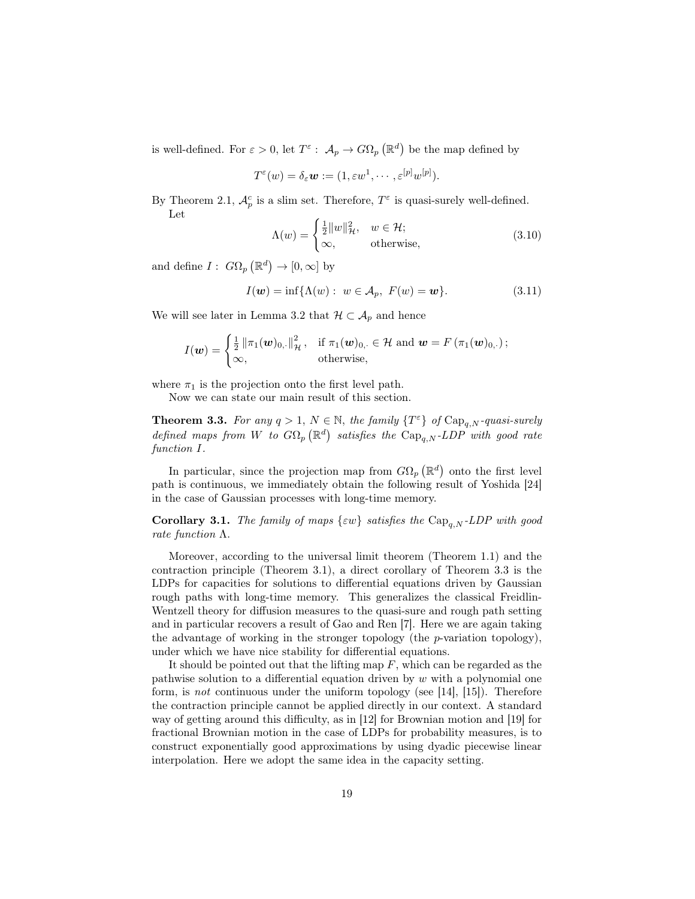is well-defined. For  $\varepsilon > 0$ , let  $T^{\varepsilon}$ :  $\mathcal{A}_{p} \to G\Omega_{p}(\mathbb{R}^{d})$  be the map defined by

$$
T^{\varepsilon}(w)=\delta_{\varepsilon}\mathbf{w}:=(1,\varepsilon w^1,\cdots,\varepsilon^{[p]}w^{[p]}).
$$

By Theorem 2.1,  $\mathcal{A}_p^c$  is a slim set. Therefore,  $T^{\varepsilon}$  is quasi-surely well-defined. Let

$$
\Lambda(w) = \begin{cases} \frac{1}{2} ||w||_{\mathcal{H}}^2, & w \in \mathcal{H}; \\ \infty, & \text{otherwise}, \end{cases}
$$
 (3.10)

and define  $I: G\Omega_p (\mathbb{R}^d) \to [0, \infty]$  by

$$
I(\mathbf{w}) = \inf \{ \Lambda(w) : \ w \in \mathcal{A}_p, \ F(w) = \mathbf{w} \}.
$$
 (3.11)

We will see later in Lemma 3.2 that  $\mathcal{H} \subset \mathcal{A}_p$  and hence

$$
I(\boldsymbol{w}) = \begin{cases} \frac{1}{2} \left\| \pi_1(\boldsymbol{w})_{0,\cdot} \right\|_{\mathcal{H}}^2, & \text{if } \pi_1(\boldsymbol{w})_{0,\cdot} \in \mathcal{H} \text{ and } \boldsymbol{w} = F\left(\pi_1(\boldsymbol{w})_{0,\cdot}\right); \\ \infty, & \text{otherwise}, \end{cases}
$$

where  $\pi_1$  is the projection onto the first level path.

Now we can state our main result of this section.

**Theorem 3.3.** For any  $q > 1$ ,  $N \in \mathbb{N}$ , the family  $\{T^{\varepsilon}\}\$  of  $\text{Cap}_{q,N}$ -quasi-surely defined maps from W to  $G\Omega_p(\mathbb{R}^d)$  satisfies the  $\text{Cap}_{q,N}$ -LDP with good rate function I.

In particular, since the projection map from  $G\Omega_p(\mathbb{R}^d)$  onto the first level path is continuous, we immediately obtain the following result of Yoshida [24] in the case of Gaussian processes with long-time memory.

**Corollary 3.1.** The family of maps  $\{\varepsilon w\}$  satisfies the  $\text{Cap}_{a,N}$ -LDP with good rate function Λ.

Moreover, according to the universal limit theorem (Theorem 1.1) and the contraction principle (Theorem 3.1), a direct corollary of Theorem 3.3 is the LDPs for capacities for solutions to differential equations driven by Gaussian rough paths with long-time memory. This generalizes the classical Freidlin-Wentzell theory for diffusion measures to the quasi-sure and rough path setting and in particular recovers a result of Gao and Ren [7]. Here we are again taking the advantage of working in the stronger topology (the  $p$ -variation topology), under which we have nice stability for differential equations.

It should be pointed out that the lifting map  $F$ , which can be regarded as the pathwise solution to a differential equation driven by  $w$  with a polynomial one form, is not continuous under the uniform topology (see [14], [15]). Therefore the contraction principle cannot be applied directly in our context. A standard way of getting around this difficulty, as in [12] for Brownian motion and [19] for fractional Brownian motion in the case of LDPs for probability measures, is to construct exponentially good approximations by using dyadic piecewise linear interpolation. Here we adopt the same idea in the capacity setting.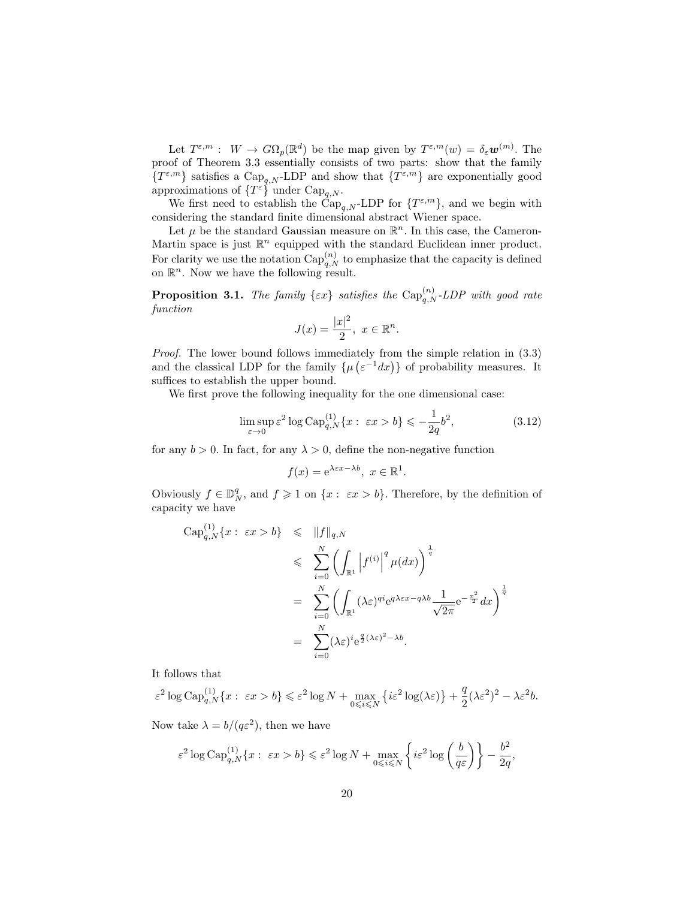Let  $T^{\varepsilon,m}$ :  $W \to G\Omega_p(\mathbb{R}^d)$  be the map given by  $T^{\varepsilon,m}(w) = \delta_{\varepsilon} \mathbf{w}^{(m)}$ . The proof of Theorem 3.3 essentially consists of two parts: show that the family  $\{T^{\varepsilon,m}\}\$  satisfies a  $\text{Cap}_{q,N}$ -LDP and show that  $\{T^{\varepsilon,m}\}\$  are exponentially good approximations of  $\{T^{\varepsilon}\}\$  under  $\text{Cap}_{q,N}$ .

We first need to establish the  $\check{C}ap_{q,N}$ -LDP for  $\{T^{\varepsilon,m}\}\,$  and we begin with considering the standard finite dimensional abstract Wiener space.

Let  $\mu$  be the standard Gaussian measure on  $\mathbb{R}^n$ . In this case, the Cameron-Martin space is just  $\mathbb{R}^n$  equipped with the standard Euclidean inner product. For clarity we use the notation  $\text{Cap}_{q,N}^{(n)}$  to emphasize that the capacity is defined on  $\mathbb{R}^n$ . Now we have the following result.

**Proposition 3.1.** The family  $\{\varepsilon x\}$  satisfies the  $\text{Cap}_{q,N}^{(n)}$ -LDP with good rate function

$$
J(x) = \frac{|x|^2}{2}, \ x \in \mathbb{R}^n.
$$

Proof. The lower bound follows immediately from the simple relation in  $(3.3)$ and the classical LDP for the family  $\{\mu(\varepsilon^{-1}dx)\}\$  of probability measures. It suffices to establish the upper bound.

We first prove the following inequality for the one dimensional case:

$$
\limsup_{\varepsilon \to 0} \varepsilon^2 \log \text{Cap}_{q,N}^{(1)} \{x : \ \varepsilon x > b\} \leq -\frac{1}{2q} b^2,\tag{3.12}
$$

for any  $b > 0$ . In fact, for any  $\lambda > 0$ , define the non-negative function

$$
f(x) = e^{\lambda \varepsilon x - \lambda b}, \ x \in \mathbb{R}^1.
$$

Obviously  $f \in \mathbb{D}_N^q$ , and  $f \geq 1$  on  $\{x : \varepsilon x > b\}$ . Therefore, by the definition of capacity we have

$$
\begin{array}{rcl}\n\text{Cap}_{q,N}^{(1)}\{x:\;\varepsilon x>b\} & \leqslant & \|f\|_{q,N} \\
& \leqslant & \displaystyle\sum_{i=0}^{N}\left(\int_{\mathbb{R}^1}\left|f^{(i)}\right|^q\mu(dx)\right)^{\frac{1}{q}} \\
& = & \displaystyle\sum_{i=0}^{N}\left(\int_{\mathbb{R}^1}(\lambda\varepsilon)^{qi}\mathrm{e}^{q\lambda\varepsilon x-q\lambda b}\frac{1}{\sqrt{2\pi}}\mathrm{e}^{-\frac{x^2}{2}}dx\right)^{\frac{1}{q}} \\
& = & \displaystyle\sum_{i=0}^{N}(\lambda\varepsilon)^{i}\mathrm{e}^{\frac{q}{2}(\lambda\varepsilon)^2-\lambda b}.\n\end{array}
$$

It follows that

 $\varepsilon^2 \log \text{Cap}_{q,N}^{(1)} \{x:\ \varepsilon x > b\} \leqslant \varepsilon^2 \log N + \max_{0 \leqslant i \leqslant N} \{i\varepsilon^2 \log(\lambda \varepsilon)\} + \frac{q}{2}$  $\frac{q}{2}(\lambda \varepsilon^2)^2 - \lambda \varepsilon^2 b.$ 

Now take  $\lambda = b/(q\epsilon^2)$ , then we have

$$
\varepsilon^2 \log \mathrm{Cap}_{q,N}^{(1)}\{x:\ \varepsilon x > b\} \leqslant \varepsilon^2 \log N + \max_{0 \leqslant i \leqslant N} \left\{i\varepsilon^2 \log \left(\frac{b}{q\varepsilon}\right)\right\} - \frac{b^2}{2q},
$$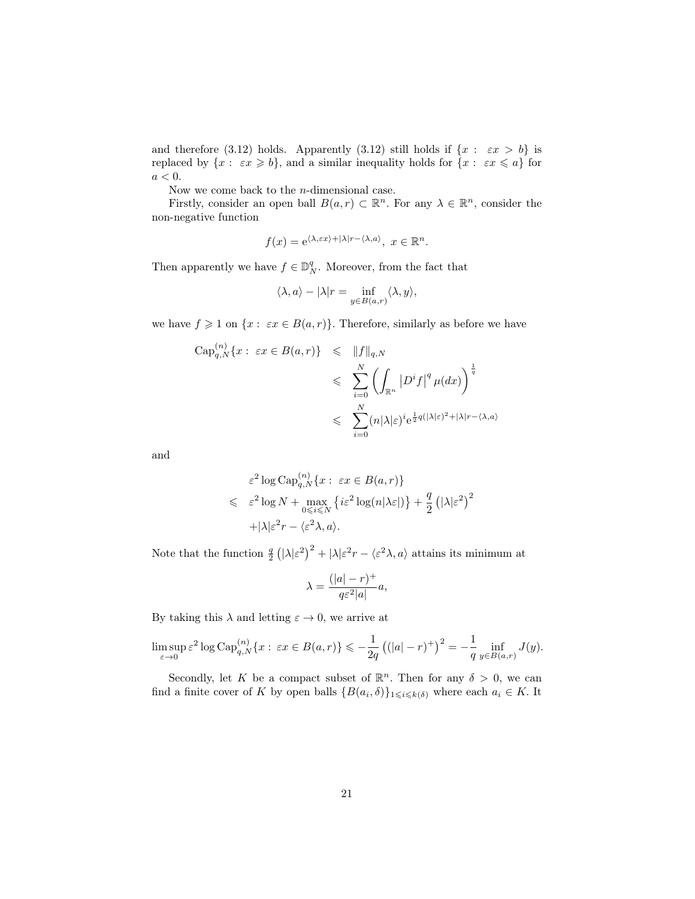and therefore (3.12) holds. Apparently (3.12) still holds if  $\{x : \varepsilon x > b\}$  is replaced by  $\{x: \varepsilon x \geqslant b\}$ , and a similar inequality holds for  $\{x: \varepsilon x \leqslant a\}$  for  $a < 0$ .

Now we come back to the  $n$ -dimensional case.

Firstly, consider an open ball  $B(a, r) \subset \mathbb{R}^n$ . For any  $\lambda \in \mathbb{R}^n$ , consider the non-negative function

$$
f(x) = e^{\langle \lambda, \varepsilon x \rangle + |\lambda| r - \langle \lambda, a \rangle}, \ x \in \mathbb{R}^n.
$$

Then apparently we have  $f \in \mathbb{D}_N^q$ . Moreover, from the fact that

$$
\langle \lambda, a \rangle - |\lambda|r = \inf_{y \in B(a,r)} \langle \lambda, y \rangle,
$$

we have  $f \geq 1$  on  $\{x : \varepsilon x \in B(a,r)\}.$  Therefore, similarly as before we have

$$
\begin{array}{rcl}\n\mathrm{Cap}_{q,N}^{(n)}\{x:\ \varepsilon x\in B(a,r)\} & \leqslant & \|f\|_{q,N} \\
& \leqslant & \displaystyle\sum_{i=0}^{N}\left(\int_{\mathbb{R}^{n}}\left|D^{i}f\right|^{q}\mu(dx)\right)^{\frac{1}{q}} \\
& \leqslant & \displaystyle\sum_{i=0}^{N}(n|\lambda|\varepsilon)^{i}e^{\frac{1}{2}q(|\lambda|\varepsilon)^{2}+|\lambda|r-\langle\lambda,a\rangle}\n\end{array}
$$

and

$$
\varepsilon^{2} \log \mathrm{Cap}_{q,N}^{(n)} \{x : \ \varepsilon x \in B(a,r)\}\
$$
  
\$\leqslant \ \varepsilon^{2} \log N + \max\_{0 \leqslant i \leqslant N} \{i\varepsilon^{2} \log(n|\lambda \varepsilon|)\} + \frac{q}{2} (|\lambda|\varepsilon^{2})^{2}\n+|\lambda|\varepsilon^{2}r - \langle \varepsilon^{2}\lambda, a \rangle.

Note that the function  $\frac{q}{2} (\vert \lambda \vert \varepsilon^2)^2 + \vert \lambda \vert \varepsilon^2 r - \langle \varepsilon^2 \lambda, a \rangle$  attains its minimum at

$$
\lambda = \frac{(|a| - r)^{+}}{q\varepsilon^{2}|a|}a,
$$

By taking this  $\lambda$  and letting  $\varepsilon \to 0$ , we arrive at

$$
\limsup_{\varepsilon \to 0} \varepsilon^2 \log \mathrm{Cap}_{q,N}^{(n)} \{x : \ \varepsilon x \in B(a,r)\} \leqslant -\frac{1}{2q} \left( (|a|-r)^+ \right)^2 = -\frac{1}{q} \inf_{y \in B(a,r)} J(y).
$$

Secondly, let K be a compact subset of  $\mathbb{R}^n$ . Then for any  $\delta > 0$ , we can find a finite cover of K by open balls  $\{B(a_i, \delta)\}_{1 \leq i \leq k(\delta)}$  where each  $a_i \in K$ . It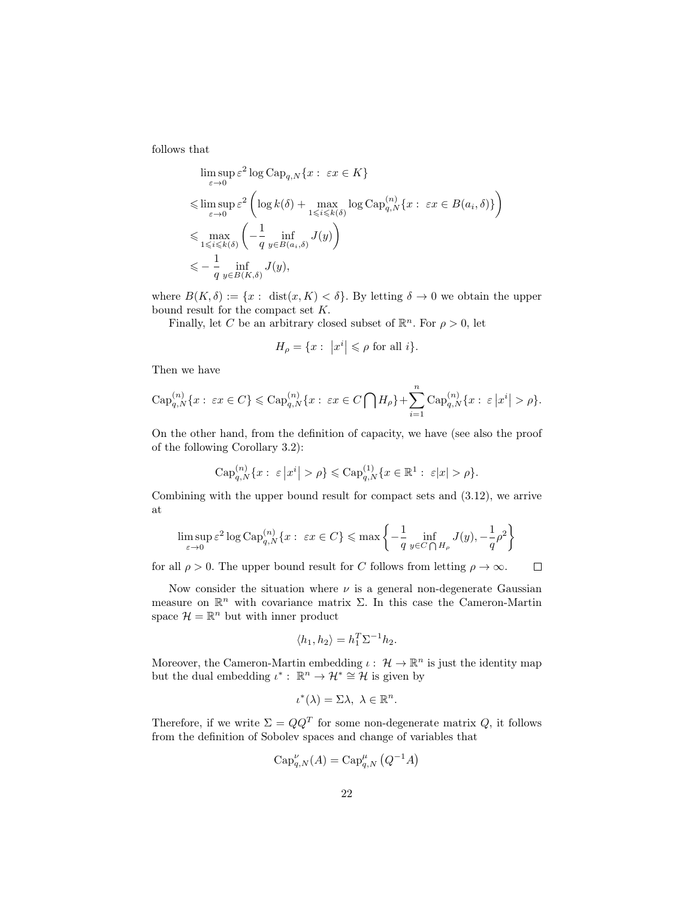follows that

$$
\limsup_{\varepsilon \to 0} \varepsilon^2 \log \text{Cap}_{q,N} \{x : \varepsilon x \in K\}
$$
\n
$$
\leq \limsup_{\varepsilon \to 0} \varepsilon^2 \left( \log k(\delta) + \max_{1 \leq i \leq k(\delta)} \log \text{Cap}_{q,N}^{(n)} \{x : \varepsilon x \in B(a_i, \delta)\} \right)
$$
\n
$$
\leq \max_{1 \leq i \leq k(\delta)} \left( -\frac{1}{q} \inf_{y \in B(a_i, \delta)} J(y) \right)
$$
\n
$$
\leq -\frac{1}{q} \inf_{y \in B(K, \delta)} J(y),
$$

where  $B(K,\delta) := \{x : \text{ dist}(x,K) < \delta\}$ . By letting  $\delta \to 0$  we obtain the upper bound result for the compact set K.

Finally, let C be an arbitrary closed subset of  $\mathbb{R}^n$ . For  $\rho > 0$ , let

$$
H_{\rho} = \{x : \left| x^{i} \right| \leqslant \rho \text{ for all } i \}.
$$

Then we have

$$
\operatorname{Cap}_{q,N}^{(n)}\{x:\ \varepsilon x\in C\}\leqslant \operatorname{Cap}_{q,N}^{(n)}\{x:\ \varepsilon x\in C\bigcap H_{\rho}\}+\sum_{i=1}^n\operatorname{Cap}_{q,N}^{(n)}\{x:\ \varepsilon\left|x^i\right|>\rho\}.
$$

On the other hand, from the definition of capacity, we have (see also the proof of the following Corollary 3.2):

$$
\mathrm{Cap}_{q,N}^{(n)}\{x:\ \varepsilon\,|x^i| > \rho\} \leqslant \mathrm{Cap}_{q,N}^{(1)}\{x \in \mathbb{R}^1:\ \varepsilon|x| > \rho\}.
$$

Combining with the upper bound result for compact sets and (3.12), we arrive at

$$
\limsup_{\varepsilon \to 0} \varepsilon^2 \log \text{Cap}_{q,N}^{(n)} \{x:\ \varepsilon x \in C\} \le \max \left\{ -\frac{1}{q} \inf_{y \in C \bigcap H_\rho} J(y), -\frac{1}{q} \rho^2 \right\}
$$

for all  $\rho > 0$ . The upper bound result for C follows from letting  $\rho \to \infty$ .  $\Box$ 

Now consider the situation where  $\nu$  is a general non-degenerate Gaussian measure on  $\mathbb{R}^n$  with covariance matrix  $\Sigma$ . In this case the Cameron-Martin space  $\mathcal{H} = \mathbb{R}^n$  but with inner product

$$
\langle h_1, h_2 \rangle = h_1^T \Sigma^{-1} h_2.
$$

Moreover, the Cameron-Martin embedding  $\iota: \mathcal{H} \to \mathbb{R}^n$  is just the identity map but the dual embedding  $\iota^* : \mathbb{R}^n \to \mathcal{H}^* \cong \mathcal{H}$  is given by

$$
\iota^*(\lambda) = \Sigma \lambda, \ \lambda \in \mathbb{R}^n.
$$

Therefore, if we write  $\Sigma = QQ^T$  for some non-degenerate matrix Q, it follows from the definition of Sobolev spaces and change of variables that

$$
\operatorname{Cap}_{q,N}^{\nu}(A) = \operatorname{Cap}_{q,N}^{\mu}(Q^{-1}A)
$$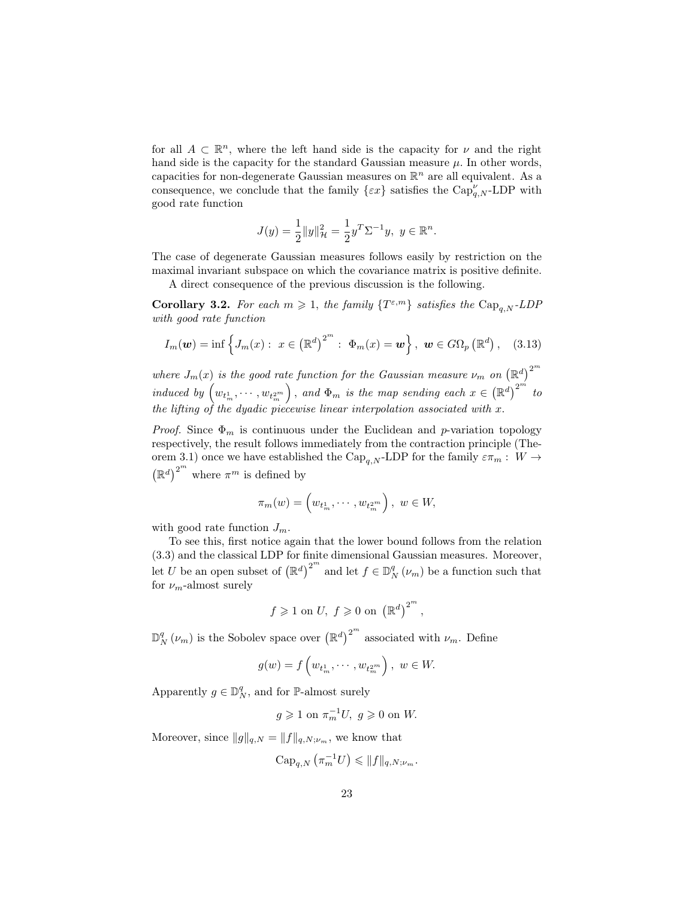for all  $A \subset \mathbb{R}^n$ , where the left hand side is the capacity for  $\nu$  and the right hand side is the capacity for the standard Gaussian measure  $\mu$ . In other words, capacities for non-degenerate Gaussian measures on  $\mathbb{R}^n$  are all equivalent. As a consequence, we conclude that the family  $\{\varepsilon x\}$  satisfies the  $\text{Cap}_{q,N}^{\nu}$ -LDP with good rate function

$$
J(y) = \frac{1}{2} ||y||_{\mathcal{H}}^2 = \frac{1}{2} y^T \Sigma^{-1} y, \ y \in \mathbb{R}^n.
$$

The case of degenerate Gaussian measures follows easily by restriction on the maximal invariant subspace on which the covariance matrix is positive definite.

A direct consequence of the previous discussion is the following.

**Corollary 3.2.** For each  $m \geq 1$ , the family  $\{T^{\varepsilon,m}\}\$  satisfies the  $\text{Cap}_{q,N}$ -LDP with good rate function

$$
I_m(\boldsymbol{w}) = \inf \left\{ J_m(x) : x \in (\mathbb{R}^d)^{2^m} : \Phi_m(x) = \boldsymbol{w} \right\}, \ \boldsymbol{w} \in G\Omega_p(\mathbb{R}^d), \quad (3.13)
$$

where  $J_m(x)$  is the good rate function for the Gaussian measure  $\nu_m$  on  $(\mathbb{R}^d)^{2^m}$ induced by  $\left(w_{t_m^1}, \dots, w_{t_m^{2m}}\right)$ , and  $\Phi_m$  is the map sending each  $x \in (\mathbb{R}^d)^{2^m}$  to the lifting of the dyadic piecewise linear interpolation associated with x.

Proof. Since  $\Phi_m$  is continuous under the Euclidean and p-variation topology respectively, the result follows immediately from the contraction principle (Theorem 3.1) once we have established the  $\text{Cap}_{q,N}$ -LDP for the family  $\varepsilon \pi_m : W \to$  $(\mathbb{R}^d)^{2^m}$  where  $\pi^m$  is defined by

$$
\pi_m(w) = \left(w_{t_m^1}, \cdots, w_{t_m^{2^m}}\right), \ w \in W,
$$

with good rate function  $J_m$ .

To see this, first notice again that the lower bound follows from the relation (3.3) and the classical LDP for finite dimensional Gaussian measures. Moreover, let U be an open subset of  $(\mathbb{R}^d)^{2^m}$  and let  $f \in \mathbb{D}_N^q(\nu_m)$  be a function such that for  $\nu_m$ -almost surely

$$
f\geqslant 1 \,\,\text{on}\,\, U,\,\, f\geqslant 0\,\,\text{on}\,\,\left(\mathbb{R}^d\right)^{2^m}
$$

,

 $\mathbb{D}_N^q(\nu_m)$  is the Sobolev space over  $(\mathbb{R}^d)^{2^m}$  associated with  $\nu_m$ . Define

$$
g(w) = f\left(w_{t_m^1}, \dots, w_{t_m^{2^m}}\right), \ w \in W.
$$

Apparently  $g \in \mathbb{D}_N^q$ , and for P-almost surely

$$
g\geqslant 1 \text{ on } \pi_{m}^{-1}U,\ g\geqslant 0 \text{ on } W.
$$

Moreover, since  $||g||_{q,N} = ||f||_{q,N;\nu_m}$ , we know that

$$
\operatorname{Cap}_{q,N}(\pi_m^{-1}U)\leqslant \|f\|_{q,N;\nu_m}.
$$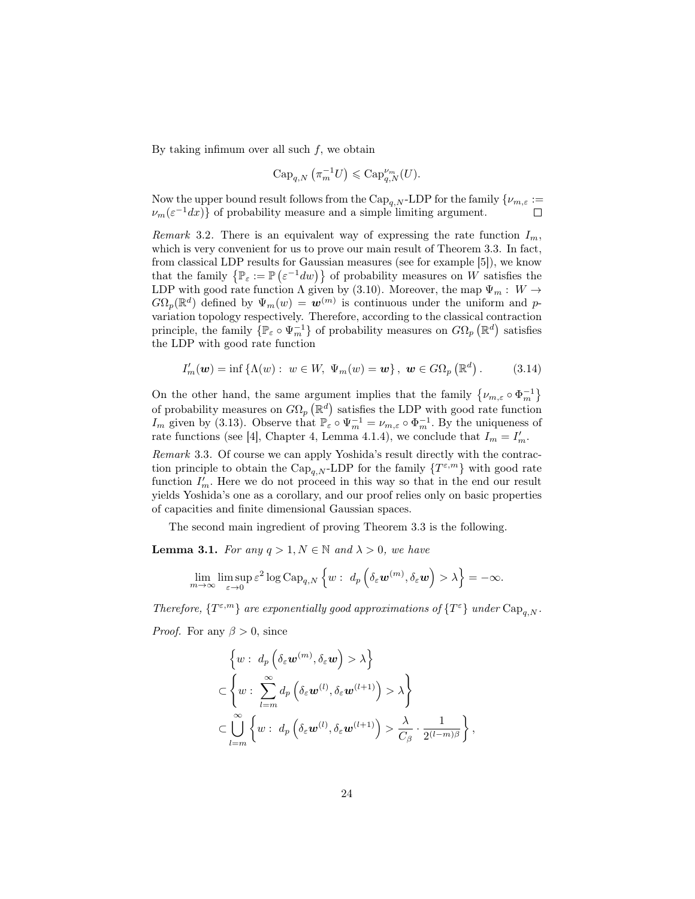By taking infimum over all such  $f$ , we obtain

$$
\operatorname{Cap}_{q,N}(\pi_m^{-1}U)\leqslant \operatorname{Cap}_{q,N}^{\nu_m}(U).
$$

Now the upper bound result follows from the  $\text{Cap}_{q,N}$ -LDP for the family  $\{\nu_{m,\varepsilon}:=$  $\nu_m(\varepsilon^{-1}dx)$  of probability measure and a simple limiting argument.

Remark 3.2. There is an equivalent way of expressing the rate function  $I_m$ , which is very convenient for us to prove our main result of Theorem 3.3. In fact, from classical LDP results for Gaussian measures (see for example [5]), we know that the family  $\{\mathbb{P}_{\varepsilon} := \mathbb{P}(\varepsilon^{-1}dw)\}\$  of probability measures on W satisfies the LDP with good rate function  $\Lambda$  given by (3.10). Moreover, the map  $\Psi_m : W \to$  $G\Omega_p(\mathbb{R}^d)$  defined by  $\Psi_m(w) = \boldsymbol{w}^{(m)}$  is continuous under the uniform and pvariation topology respectively. Therefore, according to the classical contraction principle, the family  $\{ \mathbb{P}_{\varepsilon} \circ \Psi_m^{-1} \}$  of probability measures on  $G\Omega_p (\mathbb{R}^d)$  satisfies the LDP with good rate function

$$
I'_{m}(\boldsymbol{w}) = \inf \left\{ \Lambda(w) : \ w \in W, \ \Psi_{m}(w) = \boldsymbol{w} \right\}, \ \boldsymbol{w} \in G\Omega_{p} \left( \mathbb{R}^{d} \right). \tag{3.14}
$$

On the other hand, the same argument implies that the family  $\{\nu_{m,\varepsilon} \circ \Phi_m^{-1}\}\$ of probability measures on  $G\Omega_p(\mathbb{R}^d)$  satisfies the LDP with good rate function  $I_m$  given by (3.13). Observe that  $\mathbb{P}_{\varepsilon} \circ \Psi_m^{-1} = \nu_{m,\varepsilon} \circ \Phi_m^{-1}$ . By the uniqueness of rate functions (see [4], Chapter 4, Lemma 4.1.4), we conclude that  $I_m = I'_m$ .

Remark 3.3. Of course we can apply Yoshida's result directly with the contraction principle to obtain the  $\text{Cap}_{q,N}$ -LDP for the family  $\{T^{\varepsilon,m}\}\$  with good rate function  $I'_m$ . Here we do not proceed in this way so that in the end our result yields Yoshida's one as a corollary, and our proof relies only on basic properties of capacities and finite dimensional Gaussian spaces.

The second main ingredient of proving Theorem 3.3 is the following.

**Lemma 3.1.** For any  $q > 1, N \in \mathbb{N}$  and  $\lambda > 0$ , we have

$$
\lim_{m\to\infty}\limsup_{\varepsilon\to 0}\varepsilon^2\log \mathrm{Cap}_{q,N}\left\{w:\ d_p\left(\delta_\varepsilon\boldsymbol{w}^{(m)},\delta_\varepsilon\boldsymbol{w}\right)>\lambda\right\}=-\infty.
$$

Therefore,  $\{T^{\varepsilon,m}\}$  are exponentially good approximations of  $\{T^{\varepsilon}\}\$  under  $\text{Cap}_{q,N}$ .

*Proof.* For any  $\beta > 0$ , since

$$
\left\{ w : d_p \left( \delta_{\varepsilon} \mathbf{w}^{(m)}, \delta_{\varepsilon} \mathbf{w} \right) > \lambda \right\}
$$
  

$$
\subset \left\{ w : \sum_{l=m}^{\infty} d_p \left( \delta_{\varepsilon} \mathbf{w}^{(l)}, \delta_{\varepsilon} \mathbf{w}^{(l+1)} \right) > \lambda \right\}
$$
  

$$
\subset \bigcup_{l=m}^{\infty} \left\{ w : d_p \left( \delta_{\varepsilon} \mathbf{w}^{(l)}, \delta_{\varepsilon} \mathbf{w}^{(l+1)} \right) > \frac{\lambda}{C_{\beta}} \cdot \frac{1}{2^{(l-m)\beta}} \right\}
$$

,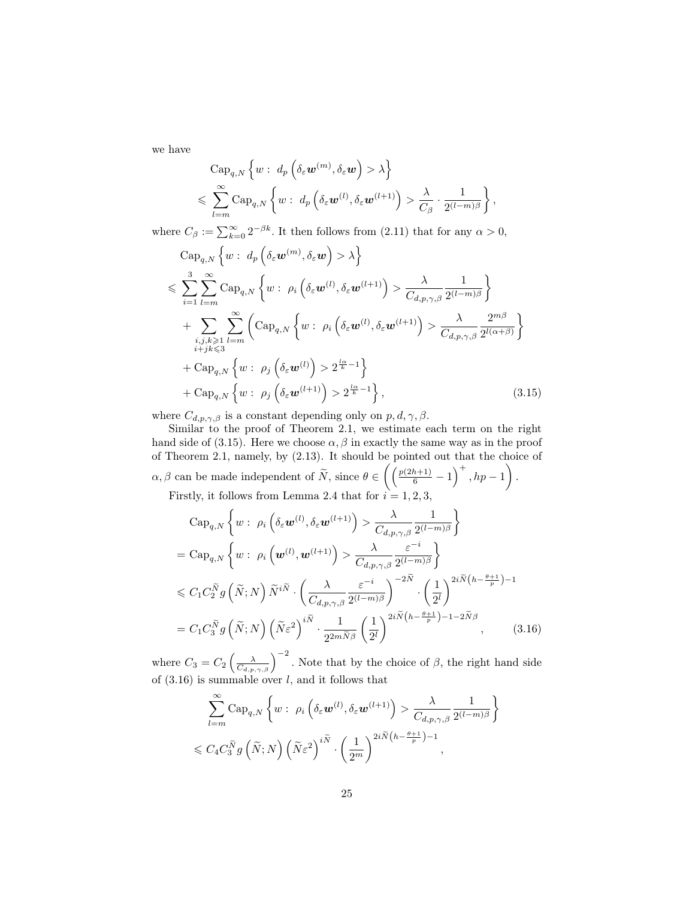we have

$$
\begin{split} &\text{Cap}_{q,N}\left\{w:\ d_p\left(\delta_\varepsilon\boldsymbol{w}^{(m)},\delta_\varepsilon\boldsymbol{w}\right)>\lambda\right\} \\ &\leqslant \sum_{l=m}^\infty \text{Cap}_{q,N}\left\{w:\ d_p\left(\delta_\varepsilon\boldsymbol{w}^{(l)},\delta_\varepsilon\boldsymbol{w}^{(l+1)}\right)>\frac{\lambda}{C_\beta}\cdot\frac{1}{2^{(l-m)\beta}}\right\}, \end{split}
$$

where  $C_{\beta} := \sum_{k=0}^{\infty} 2^{-\beta k}$ . It then follows from (2.11) that for any  $\alpha > 0$ ,

$$
\begin{split}\n&\text{Cap}_{q,N}\left\{w: d_p\left(\delta_{\varepsilon}\mathbf{w}^{(m)}, \delta_{\varepsilon}\mathbf{w}\right) > \lambda\right\} \\
&\leqslant \sum_{i=1}^{3} \sum_{l=m}^{\infty} \text{Cap}_{q,N}\left\{w: \rho_i\left(\delta_{\varepsilon}\mathbf{w}^{(l)}, \delta_{\varepsilon}\mathbf{w}^{(l+1)}\right) > \frac{\lambda}{C_{d,p,\gamma,\beta}} \frac{1}{2^{(l-m)\beta}}\right\} \\
&+ \sum_{\substack{i,j,k \geqslant 1 \\ i+jk \leqslant 3}} \sum_{l=m}^{\infty} \left(\text{Cap}_{q,N}\left\{w: \rho_i\left(\delta_{\varepsilon}\mathbf{w}^{(l)}, \delta_{\varepsilon}\mathbf{w}^{(l+1)}\right) > \frac{\lambda}{C_{d,p,\gamma,\beta}} \frac{2^{m\beta}}{2^{l(\alpha+\beta)}}\right\} \\
&+ \text{Cap}_{q,N}\left\{w: \rho_j\left(\delta_{\varepsilon}\mathbf{w}^{(l)}\right) > 2^{\frac{l\alpha}{k}-1}\right\} \\
&+ \text{Cap}_{q,N}\left\{w: \rho_j\left(\delta_{\varepsilon}\mathbf{w}^{(l+1)}\right) > 2^{\frac{l\alpha}{k}-1}\right\},\n\end{split} \tag{3.15}
$$

where  $C_{d,p,\gamma,\beta}$  is a constant depending only on  $p, d, \gamma, \beta$ .

Similar to the proof of Theorem 2.1, we estimate each term on the right hand side of (3.15). Here we choose  $\alpha$ ,  $\beta$  in exactly the same way as in the proof of Theorem 2.1, namely, by (2.13). It should be pointed out that the choice of  $\alpha, \beta$  can be made independent of  $\widetilde{N}$ , since  $\theta \in \left(\left(\frac{p(2h+1)}{6} - 1\right)^+, hp - 1\right)$ . Firstly, it follows from Lemma 2.4 that for  $i = 1, 2, 3$ ,

$$
\begin{split}\n& \text{Cap}_{q,N} \left\{ w : \rho_i \left( \delta_{\varepsilon} \boldsymbol{w}^{(l)}, \delta_{\varepsilon} \boldsymbol{w}^{(l+1)} \right) > \frac{\lambda}{C_{d,p,\gamma,\beta}} \frac{1}{2^{(l-m)\beta}} \right\} \\
&= \text{Cap}_{q,N} \left\{ w : \rho_i \left( \boldsymbol{w}^{(l)}, \boldsymbol{w}^{(l+1)} \right) > \frac{\lambda}{C_{d,p,\gamma,\beta}} \frac{\varepsilon^{-i}}{2^{(l-m)\beta}} \right\} \\
&< C_1 C_2^{\widetilde{N}} g \left( \widetilde{N}; N \right) \widetilde{N}^{i\widetilde{N}} \cdot \left( \frac{\lambda}{C_{d,p,\gamma,\beta}} \frac{\varepsilon^{-i}}{2^{(l-m)\beta}} \right)^{-2\widetilde{N}} \cdot \left( \frac{1}{2^l} \right)^{2i\widetilde{N} \left( h - \frac{\theta + 1}{p} \right) - 1} \\
&= C_1 C_3^{\widetilde{N}} g \left( \widetilde{N}; N \right) \left( \widetilde{N} \varepsilon^2 \right)^{i\widetilde{N}} \cdot \frac{1}{2^{2m\widetilde{N}\beta}} \left( \frac{1}{2^l} \right)^{2i\widetilde{N} \left( h - \frac{\theta + 1}{p} \right) - 1 - 2\widetilde{N}\beta},\n\end{split} \tag{3.16}
$$

where  $C_3 = C_2 \left( \frac{\lambda}{C_{d,p,\gamma,\beta}} \right)^{-2}$ . Note that by the choice of  $\beta$ , the right hand side of  $(3.16)$  is summable over l, and it follows that

$$
\sum_{l=m}^{\infty} \text{Cap}_{q,N} \left\{ w : \rho_i \left( \delta_{\varepsilon} \mathbf{w}^{(l)}, \delta_{\varepsilon} \mathbf{w}^{(l+1)} \right) > \frac{\lambda}{C_{d,p,\gamma,\beta}} \frac{1}{2^{(l-m)\beta}} \right\}
$$
  

$$
\leqslant C_4 C_3^{\widetilde{N}} g\left( \widetilde{N}; N \right) \left( \widetilde{N} \varepsilon^2 \right)^{i\widetilde{N}} \cdot \left( \frac{1}{2^m} \right)^{2i\widetilde{N} \left( h - \frac{\theta+1}{p} \right) - 1},
$$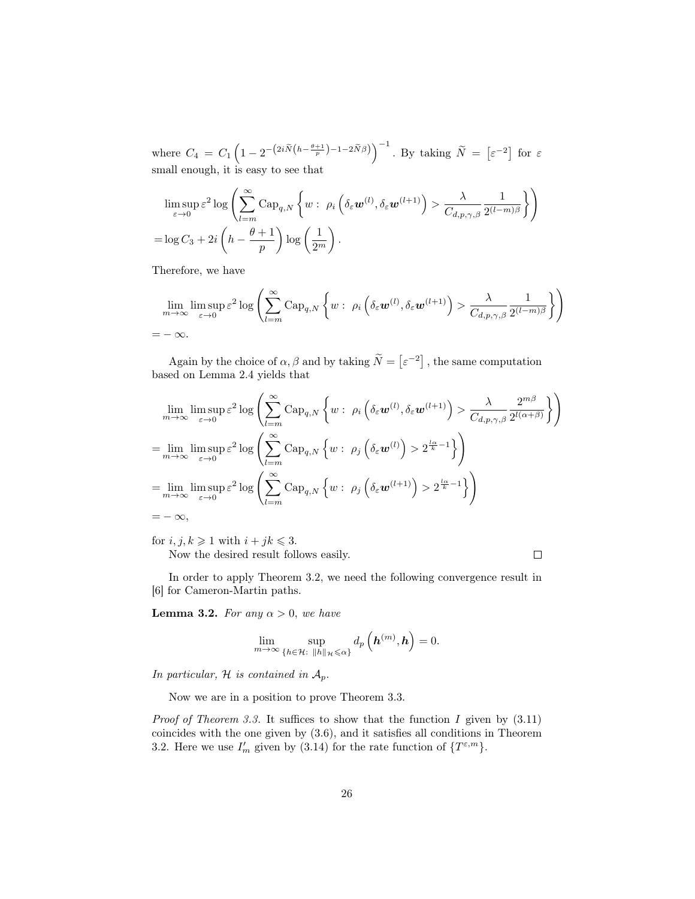where  $C_4 = C_1 \left(1 - 2^{-\left(2i\widetilde{N}\left(h - \frac{\theta+1}{p}\right) - 1 - 2\widetilde{N}\beta\right)}\right)^{-1}$ . By taking  $\widetilde{N} = \left[\varepsilon^{-2}\right]$  for  $\varepsilon$ small enough, it is easy to see that

$$
\limsup_{\varepsilon \to 0} \varepsilon^2 \log \left( \sum_{l=m}^{\infty} \text{Cap}_{q,N} \left\{ w : \ \rho_i \left( \delta_{\varepsilon} \mathbf{w}^{(l)}, \delta_{\varepsilon} \mathbf{w}^{(l+1)} \right) > \frac{\lambda}{C_{d,p,\gamma,\beta}} \frac{1}{2^{(l-m)\beta}} \right\} \right)
$$
\n
$$
= \log C_3 + 2i \left( h - \frac{\theta + 1}{p} \right) \log \left( \frac{1}{2^m} \right).
$$

Therefore, we have

$$
\lim_{m \to \infty} \limsup_{\varepsilon \to 0} \varepsilon^2 \log \left( \sum_{l=m}^{\infty} \text{Cap}_{q,N} \left\{ w : \ \rho_i \left( \delta_{\varepsilon} \boldsymbol{w}^{(l)}, \delta_{\varepsilon} \boldsymbol{w}^{(l+1)} \right) > \frac{\lambda}{C_{d,p,\gamma,\beta}} \frac{1}{2^{(l-m)\beta}} \right\} \right)
$$
\n
$$
= -\infty.
$$

Again by the choice of  $\alpha, \beta$  and by taking  $\tilde{N} = \lbrack \varepsilon^{-2} \rbrack$ , the same computation based on Lemma 2.4 yields that

$$
\lim_{m \to \infty} \limsup_{\varepsilon \to 0} \varepsilon^2 \log \left( \sum_{l=m}^{\infty} \text{Cap}_{q,N} \left\{ w : \rho_i \left( \delta_{\varepsilon} \mathbf{w}^{(l)}, \delta_{\varepsilon} \mathbf{w}^{(l+1)} \right) > \frac{\lambda}{C_{d,p,\gamma,\beta}} \frac{2^{m\beta}}{2^{l(\alpha+\beta)}} \right\} \right)
$$
\n
$$
= \lim_{m \to \infty} \limsup_{\varepsilon \to 0} \varepsilon^2 \log \left( \sum_{l=m}^{\infty} \text{Cap}_{q,N} \left\{ w : \rho_j \left( \delta_{\varepsilon} \mathbf{w}^{(l)} \right) > 2^{\frac{l\alpha}{k} - 1} \right\} \right)
$$
\n
$$
= \lim_{m \to \infty} \limsup_{\varepsilon \to 0} \varepsilon^2 \log \left( \sum_{l=m}^{\infty} \text{Cap}_{q,N} \left\{ w : \rho_j \left( \delta_{\varepsilon} \mathbf{w}^{(l+1)} \right) > 2^{\frac{l\alpha}{k} - 1} \right\} \right)
$$
\n
$$
= -\infty,
$$

for  $i, j, k \geq 1$  with  $i + jk \leq 3$ . Now the desired result follows easily.

 $\Box$ 

In order to apply Theorem 3.2, we need the following convergence result in [6] for Cameron-Martin paths.

**Lemma 3.2.** For any  $\alpha > 0$ , we have

$$
\lim_{m\to\infty}\sup_{\{h\in\mathcal{H}:\ \|h\|_{\mathcal{H}}\leqslant\alpha\}}d_p\left(\boldsymbol{h}^{(m)},\boldsymbol{h}\right)=0.
$$

In particular,  $H$  is contained in  $A_p$ .

Now we are in a position to prove Theorem 3.3.

*Proof of Theorem 3.3.* It suffices to show that the function I given by  $(3.11)$ coincides with the one given by (3.6), and it satisfies all conditions in Theorem 3.2. Here we use  $I'_m$  given by (3.14) for the rate function of  $\{T^{\varepsilon,m}\}.$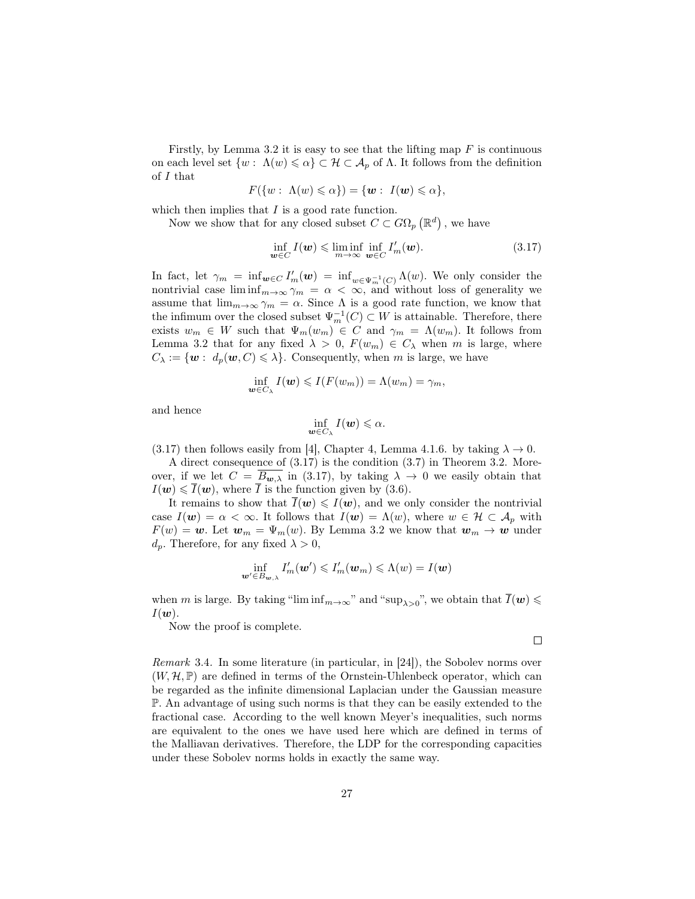Firstly, by Lemma 3.2 it is easy to see that the lifting map  $F$  is continuous on each level set  $\{w: \Lambda(w) \leq \alpha\} \subset \mathcal{H} \subset \mathcal{A}_p$  of  $\Lambda$ . It follows from the definition of I that  $A(w) \ge 3N$  6

$$
F({w:\Lambda(w)\leqslant\alpha})=\{\boldsymbol{w}:\ I(\boldsymbol{w})\leqslant\alpha}\},
$$

which then implies that  $I$  is a good rate function.

Now we show that for any closed subset  $C \subset G\Omega_p(\mathbb{R}^d)$ , we have

$$
\inf_{\boldsymbol{w}\in C} I(\boldsymbol{w}) \leqslant \liminf_{m\to\infty} \inf_{\boldsymbol{w}\in C} I'_m(\boldsymbol{w}).\tag{3.17}
$$

In fact, let  $\gamma_m = \inf_{\mathbf{w} \in C} I'_m(\mathbf{w}) = \inf_{w \in \Psi_m^{-1}(C)} \Lambda(w)$ . We only consider the nontrivial case  $\liminf_{m\to\infty} \gamma_m = \alpha < \infty$ , and without loss of generality we assume that  $\lim_{m\to\infty} \gamma_m = \alpha$ . Since  $\Lambda$  is a good rate function, we know that the infimum over the closed subset  $\Psi_m^{-1}(C) \subset W$  is attainable. Therefore, there exists  $w_m \in W$  such that  $\Psi_m(w_m) \in C$  and  $\gamma_m = \Lambda(w_m)$ . It follows from Lemma 3.2 that for any fixed  $\lambda > 0$ ,  $F(w_m) \in C_\lambda$  when m is large, where  $C_{\lambda} := \{ \mathbf{w} : d_p(\mathbf{w}, C) \leq \lambda \}.$  Consequently, when m is large, we have

$$
\inf_{\boldsymbol{w}\in C_{\lambda}}I(\boldsymbol{w})\leqslant I(F(w_m))=\Lambda(w_m)=\gamma_m,
$$

and hence

$$
\inf_{\boldsymbol{w}\in C_{\lambda}}I(\boldsymbol{w})\leqslant\alpha.
$$

(3.17) then follows easily from [4], Chapter 4, Lemma 4.1.6. by taking  $\lambda \to 0$ .

A direct consequence of (3.17) is the condition (3.7) in Theorem 3.2. Moreover, if we let  $C = \overline{B_{w,\lambda}}$  in (3.17), by taking  $\lambda \to 0$  we easily obtain that  $I(\boldsymbol{w}) \leq \overline{I}(\boldsymbol{w})$ , where  $\overline{I}$  is the function given by (3.6).

It remains to show that  $\bar{I}(w) \leq I(w)$ , and we only consider the nontrivial case  $I(\mathbf{w}) = \alpha < \infty$ . It follows that  $I(\mathbf{w}) = \Lambda(w)$ , where  $w \in \mathcal{H} \subset \mathcal{A}_p$  with  $F(w) = \mathbf{w}$ . Let  $\mathbf{w}_m = \Psi_m(w)$ . By Lemma 3.2 we know that  $\mathbf{w}_m \to \mathbf{w}$  under  $d_p$ . Therefore, for any fixed  $\lambda > 0$ ,

$$
\inf_{\mathbf{w}'\in B_{\mathbf{w},\lambda}}I'_m(\mathbf{w}')\leqslant I'_m(\mathbf{w}_m)\leqslant \Lambda(w)=I(\mathbf{w})
$$

when m is large. By taking "lim  $\inf_{m\to\infty}$ " and "sup<sub> $\lambda>0$ </sub>", we obtain that  $\overline{I}(\boldsymbol{w})\leq$  $I(\boldsymbol{w})$ .

Now the proof is complete.

 $\Box$ 

Remark 3.4. In some literature (in particular, in [24]), the Sobolev norms over  $(W, \mathcal{H}, \mathbb{P})$  are defined in terms of the Ornstein-Uhlenbeck operator, which can be regarded as the infinite dimensional Laplacian under the Gaussian measure P. An advantage of using such norms is that they can be easily extended to the fractional case. According to the well known Meyer's inequalities, such norms are equivalent to the ones we have used here which are defined in terms of the Malliavan derivatives. Therefore, the LDP for the corresponding capacities under these Sobolev norms holds in exactly the same way.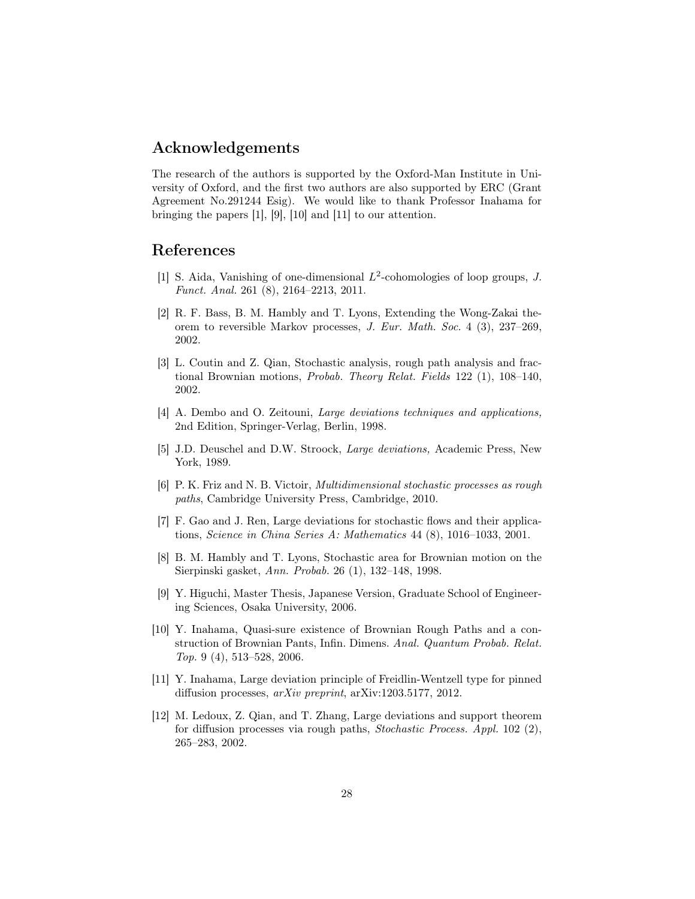## Acknowledgements

The research of the authors is supported by the Oxford-Man Institute in University of Oxford, and the first two authors are also supported by ERC (Grant Agreement No.291244 Esig). We would like to thank Professor Inahama for bringing the papers [1], [9], [10] and [11] to our attention.

# References

- [1] S. Aida, Vanishing of one-dimensional  $L^2$ -cohomologies of loop groups, J. Funct. Anal. 261 (8), 2164–2213, 2011.
- [2] R. F. Bass, B. M. Hambly and T. Lyons, Extending the Wong-Zakai theorem to reversible Markov processes, J. Eur. Math. Soc. 4 (3), 237–269, 2002.
- [3] L. Coutin and Z. Qian, Stochastic analysis, rough path analysis and fractional Brownian motions, Probab. Theory Relat. Fields 122 (1), 108–140, 2002.
- [4] A. Dembo and O. Zeitouni, Large deviations techniques and applications, 2nd Edition, Springer-Verlag, Berlin, 1998.
- [5] J.D. Deuschel and D.W. Stroock, Large deviations, Academic Press, New York, 1989.
- [6] P. K. Friz and N. B. Victoir, Multidimensional stochastic processes as rough paths, Cambridge University Press, Cambridge, 2010.
- [7] F. Gao and J. Ren, Large deviations for stochastic flows and their applications, Science in China Series A: Mathematics 44 (8), 1016–1033, 2001.
- [8] B. M. Hambly and T. Lyons, Stochastic area for Brownian motion on the Sierpinski gasket, Ann. Probab. 26 (1), 132–148, 1998.
- [9] Y. Higuchi, Master Thesis, Japanese Version, Graduate School of Engineering Sciences, Osaka University, 2006.
- [10] Y. Inahama, Quasi-sure existence of Brownian Rough Paths and a construction of Brownian Pants, Infin. Dimens. Anal. Quantum Probab. Relat. Top. 9 (4), 513–528, 2006.
- [11] Y. Inahama, Large deviation principle of Freidlin-Wentzell type for pinned diffusion processes, arXiv preprint, arXiv:1203.5177, 2012.
- [12] M. Ledoux, Z. Qian, and T. Zhang, Large deviations and support theorem for diffusion processes via rough paths, Stochastic Process. Appl. 102 (2), 265–283, 2002.